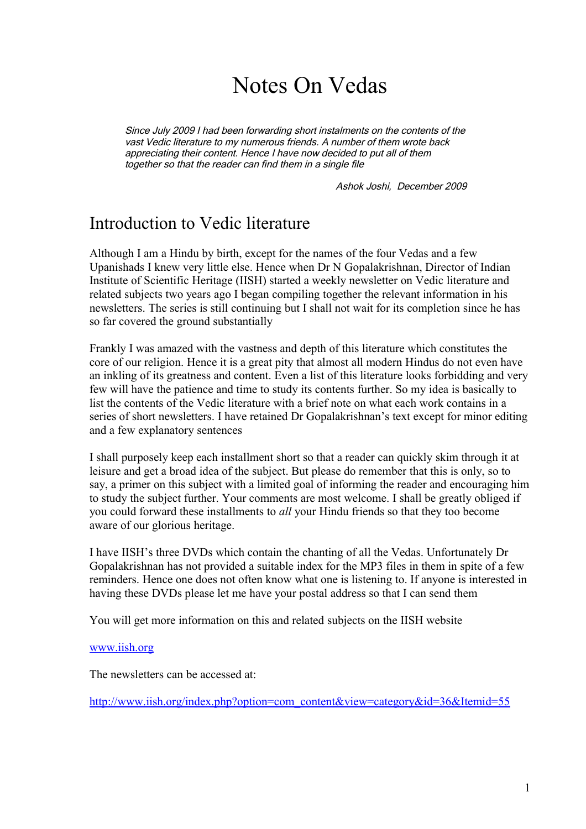# Notes On Vedas

Since July 2009 I had been forwarding short instalments on the contents of the vast Vedic literature to my numerous friends. A number of them wrote back appreciating their content. Hence I have now decided to put all of them together so that the reader can find them in a single file

Ashok Joshi, December 2009

## Introduction to Vedic literature

Although I am a Hindu by birth, except for the names of the four Vedas and a few Upanishads I knew very little else. Hence when Dr N Gopalakrishnan, Director of Indian Institute of Scientific Heritage (IISH) started a weekly newsletter on Vedic literature and related subjects two years ago I began compiling together the relevant information in his newsletters. The series is still continuing but I shall not wait for its completion since he has so far covered the ground substantially

Frankly I was amazed with the vastness and depth of this literature which constitutes the core of our religion. Hence it is a great pity that almost all modern Hindus do not even have an inkling of its greatness and content. Even a list of this literature looks forbidding and very few will have the patience and time to study its contents further. So my idea is basically to list the contents of the Vedic literature with a brief note on what each work contains in a series of short newsletters. I have retained Dr Gopalakrishnan's text except for minor editing and a few explanatory sentences

I shall purposely keep each installment short so that a reader can quickly skim through it at leisure and get a broad idea of the subject. But please do remember that this is only, so to say, a primer on this subject with a limited goal of informing the reader and encouraging him to study the subject further. Your comments are most welcome. I shall be greatly obliged if you could forward these installments to *all* your Hindu friends so that they too become aware of our glorious heritage.

I have IISH's three DVDs which contain the chanting of all the Vedas. Unfortunately Dr Gopalakrishnan has not provided a suitable index for the MP3 files in them in spite of a few reminders. Hence one does not often know what one is listening to. If anyone is interested in having these DVDs please let me have your postal address so that I can send them

You will get more information on this and related subjects on the IISH website

#### [www.iish.org](http://www.iish.org/)

The newsletters can be accessed at:

[http://www.iish.org/index.php?option=com\\_content&view=category&id=36&Itemid=55](http://www.iish.org/index.php?option=com_content&view=category&id=36&Itemid=55)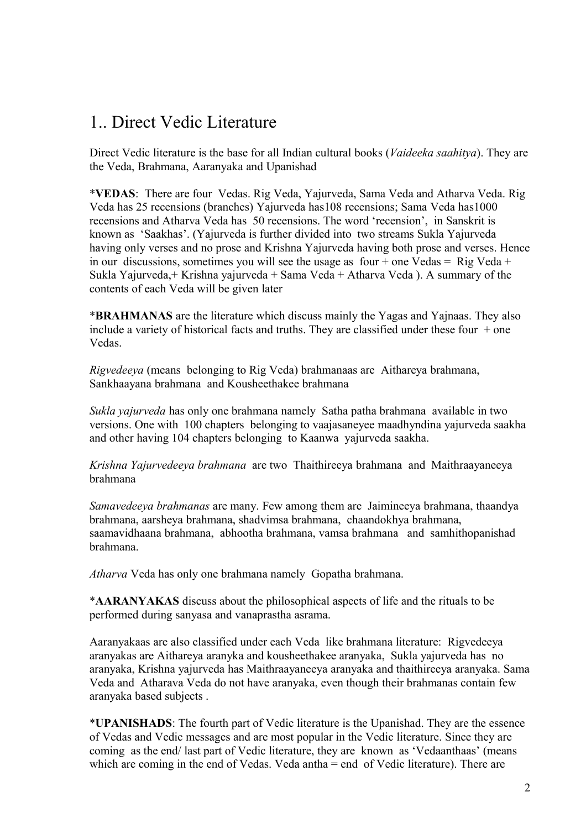## 1.. Direct Vedic Literature

Direct Vedic literature is the base for all Indian cultural books (*Vaideeka saahitya*). They are the Veda, Brahmana, Aaranyaka and Upanishad

\***VEDAS**: There are four Vedas. Rig Veda, Yajurveda, Sama Veda and Atharva Veda. Rig Veda has 25 recensions (branches) Yajurveda has108 recensions; Sama Veda has1000 recensions and Atharva Veda has 50 recensions. The word 'recension', in Sanskrit is known as 'Saakhas'. (Yajurveda is further divided into two streams Sukla Yajurveda having only verses and no prose and Krishna Yajurveda having both prose and verses. Hence in our discussions, sometimes you will see the usage as four + one Vedas = Rig Veda + Sukla Yajurveda,+ Krishna yajurveda + Sama Veda + Atharva Veda ). A summary of the contents of each Veda will be given later

\***BRAHMANAS** are the literature which discuss mainly the Yagas and Yajnaas. They also include a variety of historical facts and truths. They are classified under these four  $+$  one Vedas.

*Rigvedeeya* (means belonging to Rig Veda) brahmanaas are Aithareya brahmana, Sankhaayana brahmana and Kousheethakee brahmana

*Sukla yajurveda* has only one brahmana namely Satha patha brahmana available in two versions. One with 100 chapters belonging to vaajasaneyee maadhyndina yajurveda saakha and other having 104 chapters belonging to Kaanwa yajurveda saakha.

*Krishna Yajurvedeeya brahmana* are two Thaithireeya brahmana and Maithraayaneeya brahmana

*Samavedeeya brahmanas* are many. Few among them are Jaimineeya brahmana, thaandya brahmana, aarsheya brahmana, shadvimsa brahmana, chaandokhya brahmana, saamavidhaana brahmana, abhootha brahmana, vamsa brahmana and samhithopanishad brahmana.

*Atharva* Veda has only one brahmana namely Gopatha brahmana.

\***AARANYAKAS** discuss about the philosophical aspects of life and the rituals to be performed during sanyasa and vanaprastha asrama.

Aaranyakaas are also classified under each Veda like brahmana literature: Rigvedeeya aranyakas are Aithareya aranyka and kousheethakee aranyaka, Sukla yajurveda has no aranyaka, Krishna yajurveda has Maithraayaneeya aranyaka and thaithireeya aranyaka. Sama Veda and Atharava Veda do not have aranyaka, even though their brahmanas contain few aranyaka based subjects .

\***UPANISHADS**: The fourth part of Vedic literature is the Upanishad. They are the essence of Vedas and Vedic messages and are most popular in the Vedic literature. Since they are coming as the end/ last part of Vedic literature, they are known as 'Vedaanthaas' (means which are coming in the end of Vedas. Veda antha = end of Vedic literature). There are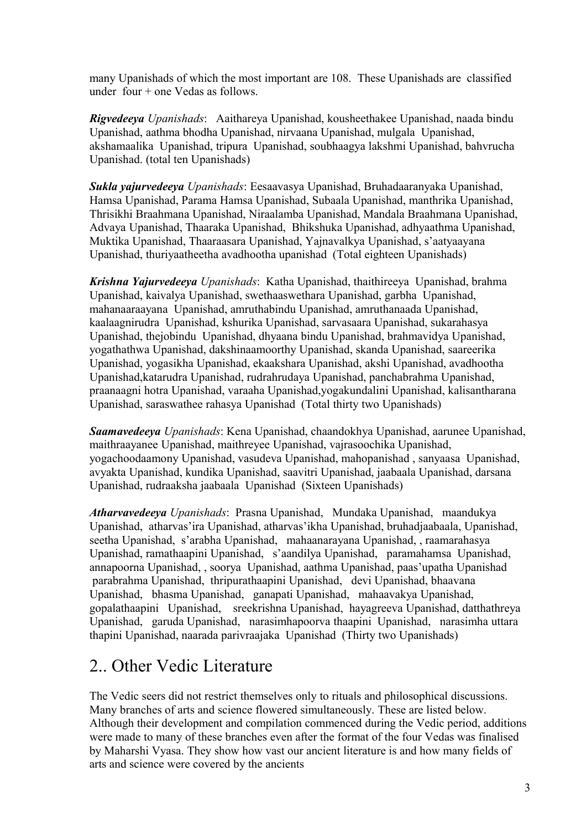many Upanishads of which the most important are 108. These Upanishads are classified under four + one Vedas as follows.

*Rigvedeeya Upanishads*: Aaithareya Upanishad, kousheethakee Upanishad, naada bindu Upanishad, aathma bhodha Upanishad, nirvaana Upanishad, mulgala Upanishad, akshamaalika Upanishad, tripura Upanishad, soubhaagya lakshmi Upanishad, bahvrucha Upanishad. (total ten Upanishads)

*Sukla yajurvedeeya Upanishads*: Eesaavasya Upanishad, Bruhadaaranyaka Upanishad, Hamsa Upanishad, Parama Hamsa Upanishad, Subaala Upanishad, manthrika Upanishad, Thrisikhi Braahmana Upanishad, Niraalamba Upanishad, Mandala Braahmana Upanishad, Advaya Upanishad, Thaaraka Upanishad, Bhikshuka Upanishad, adhyaathma Upanishad, Muktika Upanishad, Thaaraasara Upanishad, Yajnavalkya Upanishad, s'aatyaayana Upanishad, thuriyaatheetha avadhootha upanishad (Total eighteen Upanishads)

*Krishna Yajurvedeeya Upanishads*: Katha Upanishad, thaithireeya Upanishad, brahma Upanishad, kaivalya Upanishad, swethaaswethara Upanishad, garbha Upanishad, mahanaaraayana Upanishad, amruthabindu Upanishad, amruthanaada Upanishad, kaalaagnirudra Upanishad, kshurika Upanishad, sarvasaara Upanishad, sukarahasya Upanishad, thejobindu Upanishad, dhyaana bindu Upanishad, brahmavidya Upanishad, yogathathwa Upanishad, dakshinaamoorthy Upanishad, skanda Upanishad, saareerika Upanishad, yogasikha Upanishad, ekaakshara Upanishad, akshi Upanishad, avadhootha Upanishad,katarudra Upanishad, rudrahrudaya Upanishad, panchabrahma Upanishad, praanaagni hotra Upanishad, varaaha Upanishad,yogakundalini Upanishad, kalisantharana Upanishad, saraswathee rahasya Upanishad (Total thirty two Upanishads)

*Saamavedeeya Upanishads*: Kena Upanishad, chaandokhya Upanishad, aarunee Upanishad, maithraayanee Upanishad, maithreyee Upanishad, vajrasoochika Upanishad, yogachoodaamony Upanishad, vasudeva Upanishad, mahopanishad , sanyaasa Upanishad, avyakta Upanishad, kundika Upanishad, saavitri Upanishad, jaabaala Upanishad, darsana Upanishad, rudraaksha jaabaala Upanishad (Sixteen Upanishads)

*Atharvavedeeya Upanishads*: Prasna Upanishad, Mundaka Upanishad, maandukya Upanishad, atharvas'ira Upanishad, atharvas'ikha Upanishad, bruhadjaabaala, Upanishad, seetha Upanishad, s'arabha Upanishad, mahaanarayana Upanishad, , raamarahasya Upanishad, ramathaapini Upanishad, s'aandilya Upanishad, paramahamsa Upanishad, annapoorna Upanishad, , soorya Upanishad, aathma Upanishad, paas'upatha Upanishad parabrahma Upanishad, thripurathaapini Upanishad, devi Upanishad, bhaavana Upanishad, bhasma Upanishad, ganapati Upanishad, mahaavakya Upanishad, gopalathaapini Upanishad, sreekrishna Upanishad, hayagreeva Upanishad, datthathreya Upanishad, garuda Upanishad, narasimhapoorva thaapini Upanishad, narasimha uttara thapini Upanishad, naarada parivraajaka Upanishad (Thirty two Upanishads)

## 2.. Other Vedic Literature

The Vedic seers did not restrict themselves only to rituals and philosophical discussions. Many branches of arts and science flowered simultaneously. These are listed below. Although their development and compilation commenced during the Vedic period, additions were made to many of these branches even after the format of the four Vedas was finalised by Maharshi Vyasa. They show how vast our ancient literature is and how many fields of arts and science were covered by the ancients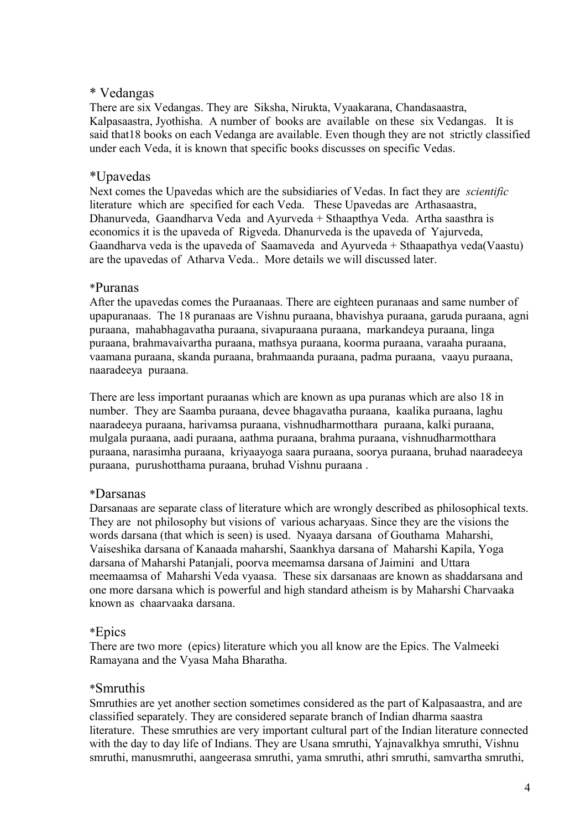### \* Vedangas

There are six Vedangas. They are Siksha, Nirukta, Vyaakarana, Chandasaastra, Kalpasaastra, Jyothisha. A number of books are available on these six Vedangas. It is said that18 books on each Vedanga are available. Even though they are not strictly classified under each Veda, it is known that specific books discusses on specific Vedas.

### \*Upavedas

Next comes the Upavedas which are the subsidiaries of Vedas. In fact they are *scientific* literature which are specified for each Veda. These Upavedas are Arthasaastra, Dhanurveda, Gaandharva Veda and Ayurveda + Sthaapthya Veda. Artha saasthra is economics it is the upaveda of Rigveda. Dhanurveda is the upaveda of Yajurveda, Gaandharva veda is the upaveda of Saamaveda and Ayurveda + Sthaapathya veda(Vaastu) are the upavedas of Atharva Veda.. More details we will discussed later.

#### \*Puranas

After the upavedas comes the Puraanaas. There are eighteen puranaas and same number of upapuranaas. The 18 puranaas are Vishnu puraana, bhavishya puraana, garuda puraana, agni puraana, mahabhagavatha puraana, sivapuraana puraana, markandeya puraana, linga puraana, brahmavaivartha puraana, mathsya puraana, koorma puraana, varaaha puraana, vaamana puraana, skanda puraana, brahmaanda puraana, padma puraana, vaayu puraana, naaradeeya puraana.

There are less important puraanas which are known as upa puranas which are also 18 in number. They are Saamba puraana, devee bhagavatha puraana, kaalika puraana, laghu naaradeeya puraana, harivamsa puraana, vishnudharmotthara puraana, kalki puraana, mulgala puraana, aadi puraana, aathma puraana, brahma puraana, vishnudharmotthara puraana, narasimha puraana, kriyaayoga saara puraana, soorya puraana, bruhad naaradeeya puraana, purushotthama puraana, bruhad Vishnu puraana .

#### \*Darsanas

Darsanaas are separate class of literature which are wrongly described as philosophical texts. They are not philosophy but visions of various acharyaas. Since they are the visions the words darsana (that which is seen) is used. Nyaaya darsana of Gouthama Maharshi, Vaiseshika darsana of Kanaada maharshi, Saankhya darsana of Maharshi Kapila, Yoga darsana of Maharshi Patanjali, poorva meemamsa darsana of Jaimini and Uttara meemaamsa of Maharshi Veda vyaasa. These six darsanaas are known as shaddarsana and one more darsana which is powerful and high standard atheism is by Maharshi Charvaaka known as chaarvaaka darsana.

### \*Epics

There are two more (epics) literature which you all know are the Epics. The Valmeeki Ramayana and the Vyasa Maha Bharatha.

#### \*Smruthis

Smruthies are yet another section sometimes considered as the part of Kalpasaastra, and are classified separately. They are considered separate branch of Indian dharma saastra literature. These smruthies are very important cultural part of the Indian literature connected with the day to day life of Indians. They are Usana smruthi, Yajnavalkhya smruthi, Vishnu smruthi, manusmruthi, aangeerasa smruthi, yama smruthi, athri smruthi, samvartha smruthi,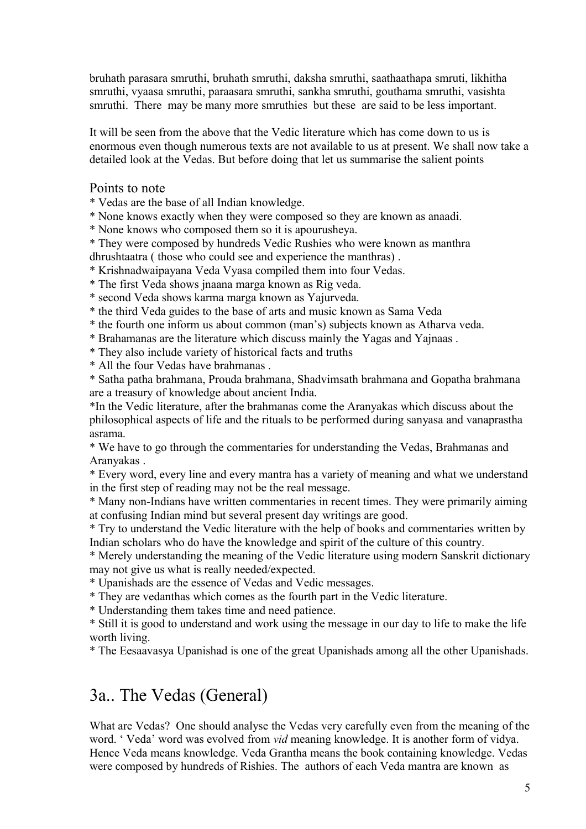bruhath parasara smruthi, bruhath smruthi, daksha smruthi, saathaathapa smruti, likhitha smruthi, vyaasa smruthi, paraasara smruthi, sankha smruthi, gouthama smruthi, vasishta smruthi. There may be many more smruthies but these are said to be less important.

It will be seen from the above that the Vedic literature which has come down to us is enormous even though numerous texts are not available to us at present. We shall now take a detailed look at the Vedas. But before doing that let us summarise the salient points

#### Points to note

\* Vedas are the base of all Indian knowledge.

\* None knows exactly when they were composed so they are known as anaadi.

\* None knows who composed them so it is apourusheya.

\* They were composed by hundreds Vedic Rushies who were known as manthra dhrushtaatra ( those who could see and experience the manthras) .

\* Krishnadwaipayana Veda Vyasa compiled them into four Vedas.

\* The first Veda shows jnaana marga known as Rig veda.

\* second Veda shows karma marga known as Yajurveda.

\* the third Veda guides to the base of arts and music known as Sama Veda

\* the fourth one inform us about common (man's) subjects known as Atharva veda.

\* Brahamanas are the literature which discuss mainly the Yagas and Yajnaas .

\* They also include variety of historical facts and truths

\* All the four Vedas have brahmanas .

\* Satha patha brahmana, Prouda brahmana, Shadvimsath brahmana and Gopatha brahmana are a treasury of knowledge about ancient India.

\*In the Vedic literature, after the brahmanas come the Aranyakas which discuss about the philosophical aspects of life and the rituals to be performed during sanyasa and vanaprastha asrama.

\* We have to go through the commentaries for understanding the Vedas, Brahmanas and Aranyakas .

\* Every word, every line and every mantra has a variety of meaning and what we understand in the first step of reading may not be the real message.

\* Many non-Indians have written commentaries in recent times. They were primarily aiming at confusing Indian mind but several present day writings are good.

\* Try to understand the Vedic literature with the help of books and commentaries written by Indian scholars who do have the knowledge and spirit of the culture of this country.

\* Merely understanding the meaning of the Vedic literature using modern Sanskrit dictionary may not give us what is really needed/expected.

\* Upanishads are the essence of Vedas and Vedic messages.

\* They are vedanthas which comes as the fourth part in the Vedic literature.

\* Understanding them takes time and need patience.

\* Still it is good to understand and work using the message in our day to life to make the life worth living.

\* The Eesaavasya Upanishad is one of the great Upanishads among all the other Upanishads.

## 3a.. The Vedas (General)

What are Vedas? One should analyse the Vedas very carefully even from the meaning of the word. ' Veda' word was evolved from *vid* meaning knowledge. It is another form of vidya. Hence Veda means knowledge. Veda Grantha means the book containing knowledge. Vedas were composed by hundreds of Rishies. The authors of each Veda mantra are known as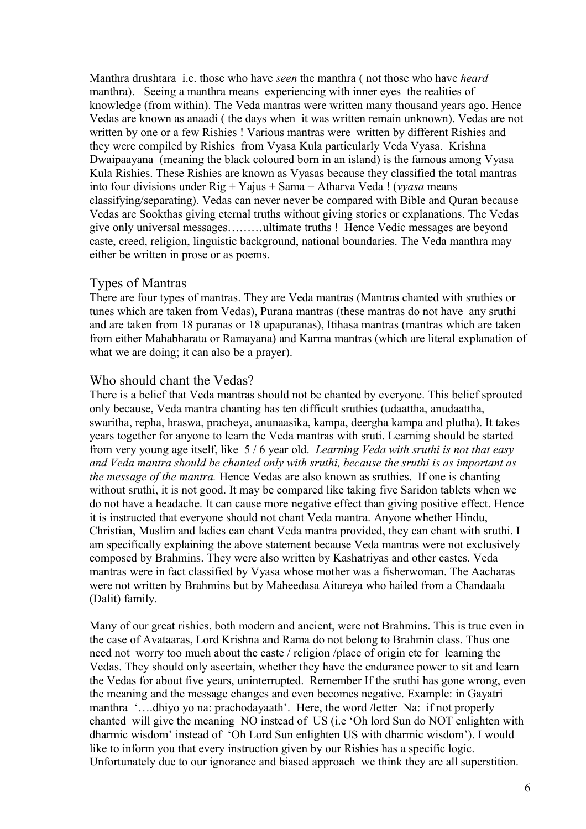Manthra drushtara i.e. those who have *seen* the manthra ( not those who have *heard* manthra). Seeing a manthra means experiencing with inner eyes the realities of knowledge (from within). The Veda mantras were written many thousand years ago. Hence Vedas are known as anaadi ( the days when it was written remain unknown). Vedas are not written by one or a few Rishies ! Various mantras were written by different Rishies and they were compiled by Rishies from Vyasa Kula particularly Veda Vyasa. Krishna Dwaipaayana (meaning the black coloured born in an island) is the famous among Vyasa Kula Rishies. These Rishies are known as Vyasas because they classified the total mantras into four divisions under Rig + Yajus + Sama + Atharva Veda ! (*vyasa* means classifying/separating). Vedas can never never be compared with Bible and Quran because Vedas are Sookthas giving eternal truths without giving stories or explanations. The Vedas give only universal messages………ultimate truths ! Hence Vedic messages are beyond caste, creed, religion, linguistic background, national boundaries. The Veda manthra may either be written in prose or as poems.

#### Types of Mantras

There are four types of mantras. They are Veda mantras (Mantras chanted with sruthies or tunes which are taken from Vedas), Purana mantras (these mantras do not have any sruthi and are taken from 18 puranas or 18 upapuranas), Itihasa mantras (mantras which are taken from either Mahabharata or Ramayana) and Karma mantras (which are literal explanation of what we are doing; it can also be a prayer).

#### Who should chant the Vedas?

There is a belief that Veda mantras should not be chanted by everyone. This belief sprouted only because, Veda mantra chanting has ten difficult sruthies (udaattha, anudaattha, swaritha, repha, hraswa, pracheya, anunaasika, kampa, deergha kampa and plutha). It takes years together for anyone to learn the Veda mantras with sruti. Learning should be started from very young age itself, like 5 / 6 year old. *Learning Veda with sruthi is not that easy and Veda mantra should be chanted only with sruthi, because the sruthi is as important as the message of the mantra.* Hence Vedas are also known as sruthies. If one is chanting without sruthi, it is not good. It may be compared like taking five Saridon tablets when we do not have a headache. It can cause more negative effect than giving positive effect. Hence it is instructed that everyone should not chant Veda mantra. Anyone whether Hindu, Christian, Muslim and ladies can chant Veda mantra provided, they can chant with sruthi. I am specifically explaining the above statement because Veda mantras were not exclusively composed by Brahmins. They were also written by Kashatriyas and other castes. Veda mantras were in fact classified by Vyasa whose mother was a fisherwoman. The Aacharas were not written by Brahmins but by Maheedasa Aitareya who hailed from a Chandaala (Dalit) family.

Many of our great rishies, both modern and ancient, were not Brahmins. This is true even in the case of Avataaras, Lord Krishna and Rama do not belong to Brahmin class. Thus one need not worry too much about the caste / religion /place of origin etc for learning the Vedas. They should only ascertain, whether they have the endurance power to sit and learn the Vedas for about five years, uninterrupted. Remember If the sruthi has gone wrong, even the meaning and the message changes and even becomes negative. Example: in Gayatri manthra '….dhiyo yo na: prachodayaath'. Here, the word /letter Na: if not properly chanted will give the meaning NO instead of US (i.e 'Oh lord Sun do NOT enlighten with dharmic wisdom' instead of 'Oh Lord Sun enlighten US with dharmic wisdom'). I would like to inform you that every instruction given by our Rishies has a specific logic. Unfortunately due to our ignorance and biased approach we think they are all superstition.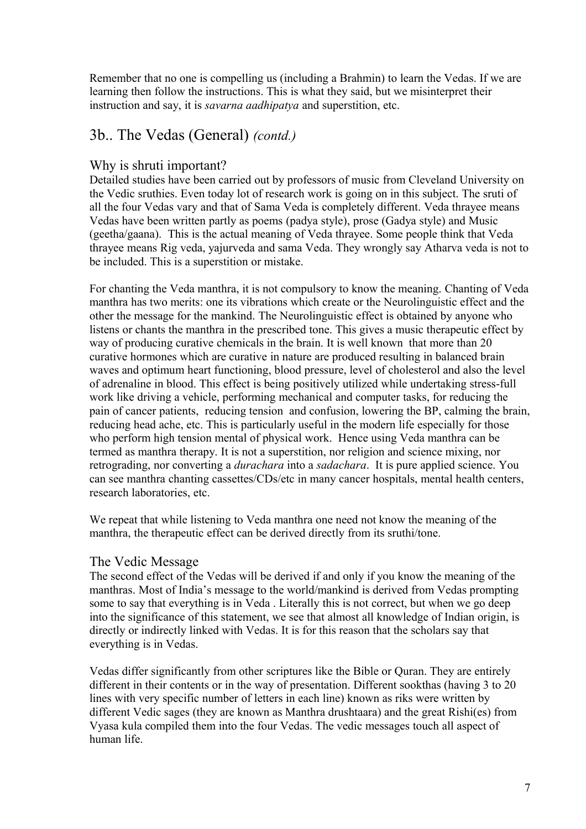Remember that no one is compelling us (including a Brahmin) to learn the Vedas. If we are learning then follow the instructions. This is what they said, but we misinterpret their instruction and say, it is *savarna aadhipatya* and superstition, etc.

## 3b.. The Vedas (General) *(contd.)*

### Why is shruti important?

Detailed studies have been carried out by professors of music from Cleveland University on the Vedic sruthies. Even today lot of research work is going on in this subject. The sruti of all the four Vedas vary and that of Sama Veda is completely different. Veda thrayee means Vedas have been written partly as poems (padya style), prose (Gadya style) and Music (geetha/gaana). This is the actual meaning of Veda thrayee. Some people think that Veda thrayee means Rig veda, yajurveda and sama Veda. They wrongly say Atharva veda is not to be included. This is a superstition or mistake.

For chanting the Veda manthra, it is not compulsory to know the meaning. Chanting of Veda manthra has two merits: one its vibrations which create or the Neurolinguistic effect and the other the message for the mankind. The Neurolinguistic effect is obtained by anyone who listens or chants the manthra in the prescribed tone. This gives a music therapeutic effect by way of producing curative chemicals in the brain. It is well known that more than 20 curative hormones which are curative in nature are produced resulting in balanced brain waves and optimum heart functioning, blood pressure, level of cholesterol and also the level of adrenaline in blood. This effect is being positively utilized while undertaking stress-full work like driving a vehicle, performing mechanical and computer tasks, for reducing the pain of cancer patients, reducing tension and confusion, lowering the BP, calming the brain, reducing head ache, etc. This is particularly useful in the modern life especially for those who perform high tension mental of physical work. Hence using Veda manthra can be termed as manthra therapy. It is not a superstition, nor religion and science mixing, nor retrograding, nor converting a *durachara* into a *sadachara*. It is pure applied science. You can see manthra chanting cassettes/CDs/etc in many cancer hospitals, mental health centers, research laboratories, etc.

We repeat that while listening to Veda manthra one need not know the meaning of the manthra, the therapeutic effect can be derived directly from its sruthi/tone.

### The Vedic Message

The second effect of the Vedas will be derived if and only if you know the meaning of the manthras. Most of India's message to the world/mankind is derived from Vedas prompting some to say that everything is in Veda . Literally this is not correct, but when we go deep into the significance of this statement, we see that almost all knowledge of Indian origin, is directly or indirectly linked with Vedas. It is for this reason that the scholars say that everything is in Vedas.

Vedas differ significantly from other scriptures like the Bible or Quran. They are entirely different in their contents or in the way of presentation. Different sookthas (having 3 to 20 lines with very specific number of letters in each line) known as riks were written by different Vedic sages (they are known as Manthra drushtaara) and the great Rishi(es) from Vyasa kula compiled them into the four Vedas. The vedic messages touch all aspect of human life.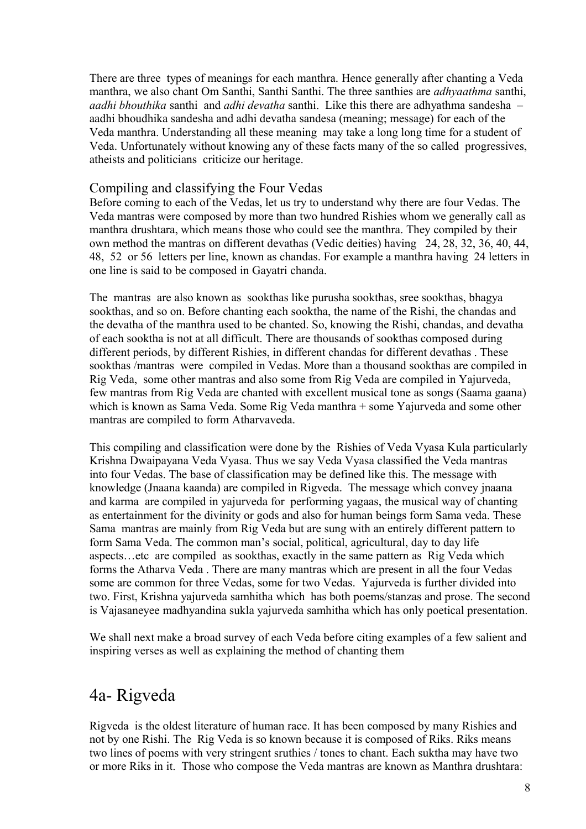There are three types of meanings for each manthra. Hence generally after chanting a Veda manthra, we also chant Om Santhi, Santhi Santhi. The three santhies are *adhyaathma* santhi, *aadhi bhouthika* santhi and *adhi devatha* santhi. Like this there are adhyathma sandesha – aadhi bhoudhika sandesha and adhi devatha sandesa (meaning; message) for each of the Veda manthra. Understanding all these meaning may take a long long time for a student of Veda. Unfortunately without knowing any of these facts many of the so called progressives, atheists and politicians criticize our heritage.

### Compiling and classifying the Four Vedas

Before coming to each of the Vedas, let us try to understand why there are four Vedas. The Veda mantras were composed by more than two hundred Rishies whom we generally call as manthra drushtara, which means those who could see the manthra. They compiled by their own method the mantras on different devathas (Vedic deities) having 24, 28, 32, 36, 40, 44, 48, 52 or 56 letters per line, known as chandas. For example a manthra having 24 letters in one line is said to be composed in Gayatri chanda.

The mantras are also known as sookthas like purusha sookthas, sree sookthas, bhagya sookthas, and so on. Before chanting each sooktha, the name of the Rishi, the chandas and the devatha of the manthra used to be chanted. So, knowing the Rishi, chandas, and devatha of each sooktha is not at all difficult. There are thousands of sookthas composed during different periods, by different Rishies, in different chandas for different devathas . These sookthas /mantras were compiled in Vedas. More than a thousand sookthas are compiled in Rig Veda, some other mantras and also some from Rig Veda are compiled in Yajurveda, few mantras from Rig Veda are chanted with excellent musical tone as songs (Saama gaana) which is known as Sama Veda. Some Rig Veda manthra + some Yajurveda and some other mantras are compiled to form Atharvaveda.

This compiling and classification were done by the Rishies of Veda Vyasa Kula particularly Krishna Dwaipayana Veda Vyasa. Thus we say Veda Vyasa classified the Veda mantras into four Vedas. The base of classification may be defined like this. The message with knowledge (Jnaana kaanda) are compiled in Rigveda. The message which convey jnaana and karma are compiled in yajurveda for performing yagaas, the musical way of chanting as entertainment for the divinity or gods and also for human beings form Sama veda. These Sama mantras are mainly from Rig Veda but are sung with an entirely different pattern to form Sama Veda. The common man's social, political, agricultural, day to day life aspects…etc are compiled as sookthas, exactly in the same pattern as Rig Veda which forms the Atharva Veda . There are many mantras which are present in all the four Vedas some are common for three Vedas, some for two Vedas. Yajurveda is further divided into two. First, Krishna yajurveda samhitha which has both poems/stanzas and prose. The second is Vajasaneyee madhyandina sukla yajurveda samhitha which has only poetical presentation.

We shall next make a broad survey of each Veda before citing examples of a few salient and inspiring verses as well as explaining the method of chanting them

## 4a- Rigveda

Rigveda is the oldest literature of human race. It has been composed by many Rishies and not by one Rishi. The Rig Veda is so known because it is composed of Riks. Riks means two lines of poems with very stringent sruthies / tones to chant. Each suktha may have two or more Riks in it. Those who compose the Veda mantras are known as Manthra drushtara: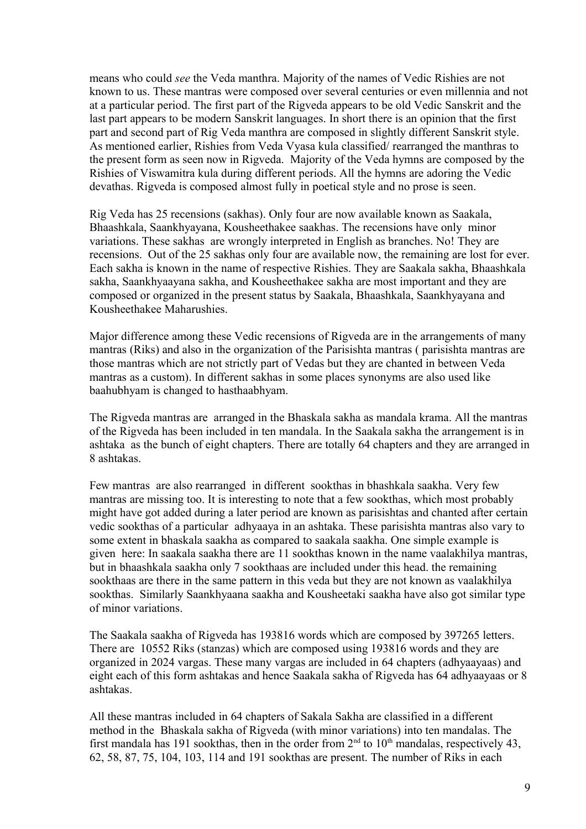means who could *see* the Veda manthra. Majority of the names of Vedic Rishies are not known to us. These mantras were composed over several centuries or even millennia and not at a particular period. The first part of the Rigveda appears to be old Vedic Sanskrit and the last part appears to be modern Sanskrit languages. In short there is an opinion that the first part and second part of Rig Veda manthra are composed in slightly different Sanskrit style. As mentioned earlier, Rishies from Veda Vyasa kula classified/ rearranged the manthras to the present form as seen now in Rigveda. Majority of the Veda hymns are composed by the Rishies of Viswamitra kula during different periods. All the hymns are adoring the Vedic devathas. Rigveda is composed almost fully in poetical style and no prose is seen.

Rig Veda has 25 recensions (sakhas). Only four are now available known as Saakala, Bhaashkala, Saankhyayana, Kousheethakee saakhas. The recensions have only minor variations. These sakhas are wrongly interpreted in English as branches. No! They are recensions. Out of the 25 sakhas only four are available now, the remaining are lost for ever. Each sakha is known in the name of respective Rishies. They are Saakala sakha, Bhaashkala sakha, Saankhyaayana sakha, and Kousheethakee sakha are most important and they are composed or organized in the present status by Saakala, Bhaashkala, Saankhyayana and Kousheethakee Maharushies.

Major difference among these Vedic recensions of Rigveda are in the arrangements of many mantras (Riks) and also in the organization of the Parisishta mantras ( parisishta mantras are those mantras which are not strictly part of Vedas but they are chanted in between Veda mantras as a custom). In different sakhas in some places synonyms are also used like baahubhyam is changed to hasthaabhyam.

The Rigveda mantras are arranged in the Bhaskala sakha as mandala krama. All the mantras of the Rigveda has been included in ten mandala. In the Saakala sakha the arrangement is in ashtaka as the bunch of eight chapters. There are totally 64 chapters and they are arranged in 8 ashtakas.

Few mantras are also rearranged in different sookthas in bhashkala saakha. Very few mantras are missing too. It is interesting to note that a few sookthas, which most probably might have got added during a later period are known as parisishtas and chanted after certain vedic sookthas of a particular adhyaaya in an ashtaka. These parisishta mantras also vary to some extent in bhaskala saakha as compared to saakala saakha. One simple example is given here: In saakala saakha there are 11 sookthas known in the name vaalakhilya mantras, but in bhaashkala saakha only 7 sookthaas are included under this head. the remaining sookthaas are there in the same pattern in this veda but they are not known as vaalakhilya sookthas. Similarly Saankhyaana saakha and Kousheetaki saakha have also got similar type of minor variations.

The Saakala saakha of Rigveda has 193816 words which are composed by 397265 letters. There are 10552 Riks (stanzas) which are composed using 193816 words and they are organized in 2024 vargas. These many vargas are included in 64 chapters (adhyaayaas) and eight each of this form ashtakas and hence Saakala sakha of Rigveda has 64 adhyaayaas or 8 ashtakas.

All these mantras included in 64 chapters of Sakala Sakha are classified in a different method in the Bhaskala sakha of Rigveda (with minor variations) into ten mandalas. The first mandala has 191 sookthas, then in the order from  $2<sup>nd</sup>$  to 10<sup>th</sup> mandalas, respectively 43, 62, 58, 87, 75, 104, 103, 114 and 191 sookthas are present. The number of Riks in each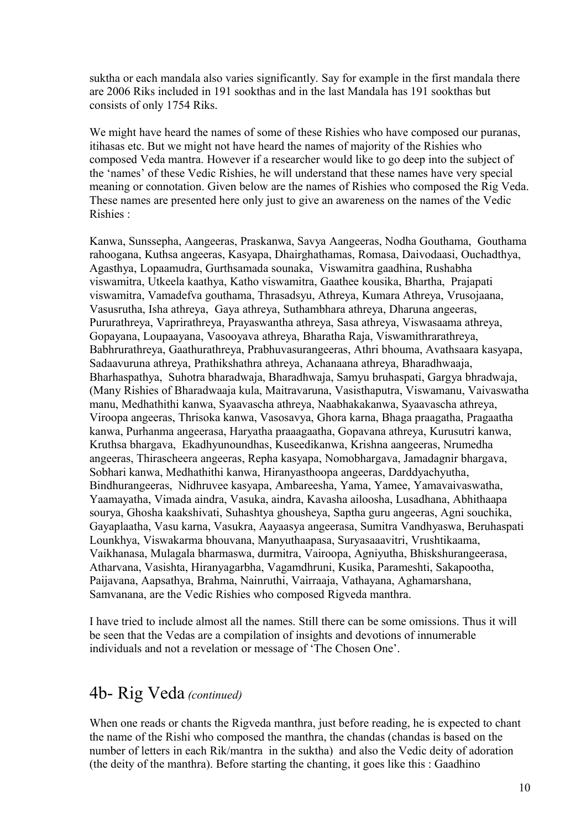suktha or each mandala also varies significantly. Say for example in the first mandala there are 2006 Riks included in 191 sookthas and in the last Mandala has 191 sookthas but consists of only 1754 Riks.

We might have heard the names of some of these Rishies who have composed our puranas, itihasas etc. But we might not have heard the names of majority of the Rishies who composed Veda mantra. However if a researcher would like to go deep into the subject of the 'names' of these Vedic Rishies, he will understand that these names have very special meaning or connotation. Given below are the names of Rishies who composed the Rig Veda. These names are presented here only just to give an awareness on the names of the Vedic Rishies :

Kanwa, Sunssepha, Aangeeras, Praskanwa, Savya Aangeeras, Nodha Gouthama, Gouthama rahoogana, Kuthsa angeeras, Kasyapa, Dhairghathamas, Romasa, Daivodaasi, Ouchadthya, Agasthya, Lopaamudra, Gurthsamada sounaka, Viswamitra gaadhina, Rushabha viswamitra, Utkeela kaathya, Katho viswamitra, Gaathee kousika, Bhartha, Prajapati viswamitra, Vamadefva gouthama, Thrasadsyu, Athreya, Kumara Athreya, Vrusojaana, Vasusrutha, Isha athreya, Gaya athreya, Suthambhara athreya, Dharuna angeeras, Pururathreya, Vaprirathreya, Prayaswantha athreya, Sasa athreya, Viswasaama athreya, Gopayana, Loupaayana, Vasooyava athreya, Bharatha Raja, Viswamithrarathreya, Babhrurathreya, Gaathurathreya, Prabhuvasurangeeras, Athri bhouma, Avathsaara kasyapa, Sadaavuruna athreya, Prathikshathra athreya, Achanaana athreya, Bharadhwaaja, Bharhaspathya, Suhotra bharadwaja, Bharadhwaja, Samyu bruhaspati, Gargya bhradwaja, (Many Rishies of Bharadwaaja kula, Maitravaruna, Vasisthaputra, Viswamanu, Vaivaswatha manu, Medhathithi kanwa, Syaavascha athreya, Naabhakakanwa, Syaavascha athreya, Viroopa angeeras, Thrisoka kanwa, Vasosavya, Ghora karna, Bhaga praagatha, Pragaatha kanwa, Purhanma angeerasa, Haryatha praaagaatha, Gopavana athreya, Kurusutri kanwa, Kruthsa bhargava, Ekadhyunoundhas, Kuseedikanwa, Krishna aangeeras, Nrumedha angeeras, Thirascheera angeeras, Repha kasyapa, Nomobhargava, Jamadagnir bhargava, Sobhari kanwa, Medhathithi kanwa, Hiranyasthoopa angeeras, Darddyachyutha, Bindhurangeeras, Nidhruvee kasyapa, Ambareesha, Yama, Yamee, Yamavaivaswatha, Yaamayatha, Vimada aindra, Vasuka, aindra, Kavasha ailoosha, Lusadhana, Abhithaapa sourya, Ghosha kaakshivati, Suhashtya ghousheya, Saptha guru angeeras, Agni souchika, Gayaplaatha, Vasu karna, Vasukra, Aayaasya angeerasa, Sumitra Vandhyaswa, Beruhaspati Lounkhya, Viswakarma bhouvana, Manyuthaapasa, Suryasaaavitri, Vrushtikaama, Vaikhanasa, Mulagala bharmaswa, durmitra, Vairoopa, Agniyutha, Bhiskshurangeerasa, Atharvana, Vasishta, Hiranyagarbha, Vagamdhruni, Kusika, Parameshti, Sakapootha, Paijavana, Aapsathya, Brahma, Nainruthi, Vairraaja, Vathayana, Aghamarshana, Samvanana, are the Vedic Rishies who composed Rigveda manthra.

I have tried to include almost all the names. Still there can be some omissions. Thus it will be seen that the Vedas are a compilation of insights and devotions of innumerable individuals and not a revelation or message of 'The Chosen One'.

## 4b- Rig Veda *(continued)*

When one reads or chants the Rigveda manthra, just before reading, he is expected to chant the name of the Rishi who composed the manthra, the chandas (chandas is based on the number of letters in each Rik/mantra in the suktha) and also the Vedic deity of adoration (the deity of the manthra). Before starting the chanting, it goes like this : Gaadhino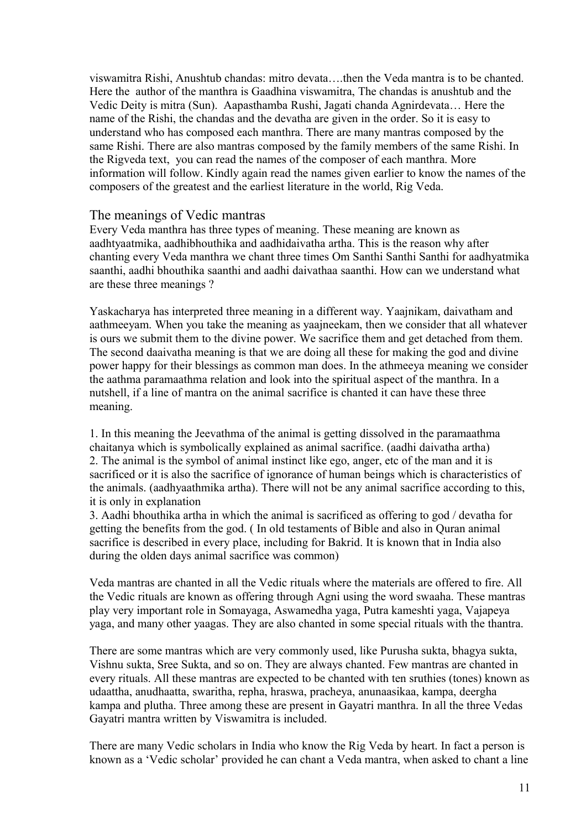viswamitra Rishi, Anushtub chandas: mitro devata….then the Veda mantra is to be chanted. Here the author of the manthra is Gaadhina viswamitra, The chandas is anushtub and the Vedic Deity is mitra (Sun). Aapasthamba Rushi, Jagati chanda Agnirdevata… Here the name of the Rishi, the chandas and the devatha are given in the order. So it is easy to understand who has composed each manthra. There are many mantras composed by the same Rishi. There are also mantras composed by the family members of the same Rishi. In the Rigveda text, you can read the names of the composer of each manthra. More information will follow. Kindly again read the names given earlier to know the names of the composers of the greatest and the earliest literature in the world, Rig Veda.

#### The meanings of Vedic mantras

Every Veda manthra has three types of meaning. These meaning are known as aadhtyaatmika, aadhibhouthika and aadhidaivatha artha. This is the reason why after chanting every Veda manthra we chant three times Om Santhi Santhi Santhi for aadhyatmika saanthi, aadhi bhouthika saanthi and aadhi daivathaa saanthi. How can we understand what are these three meanings ?

Yaskacharya has interpreted three meaning in a different way. Yaajnikam, daivatham and aathmeeyam. When you take the meaning as yaajneekam, then we consider that all whatever is ours we submit them to the divine power. We sacrifice them and get detached from them. The second daaivatha meaning is that we are doing all these for making the god and divine power happy for their blessings as common man does. In the athmeeya meaning we consider the aathma paramaathma relation and look into the spiritual aspect of the manthra. In a nutshell, if a line of mantra on the animal sacrifice is chanted it can have these three meaning.

1. In this meaning the Jeevathma of the animal is getting dissolved in the paramaathma chaitanya which is symbolically explained as animal sacrifice. (aadhi daivatha artha) 2. The animal is the symbol of animal instinct like ego, anger, etc of the man and it is sacrificed or it is also the sacrifice of ignorance of human beings which is characteristics of the animals. (aadhyaathmika artha). There will not be any animal sacrifice according to this, it is only in explanation

3. Aadhi bhouthika artha in which the animal is sacrificed as offering to god / devatha for getting the benefits from the god. ( In old testaments of Bible and also in Quran animal sacrifice is described in every place, including for Bakrid. It is known that in India also during the olden days animal sacrifice was common)

Veda mantras are chanted in all the Vedic rituals where the materials are offered to fire. All the Vedic rituals are known as offering through Agni using the word swaaha. These mantras play very important role in Somayaga, Aswamedha yaga, Putra kameshti yaga, Vajapeya yaga, and many other yaagas. They are also chanted in some special rituals with the thantra.

There are some mantras which are very commonly used, like Purusha sukta, bhagya sukta, Vishnu sukta, Sree Sukta, and so on. They are always chanted. Few mantras are chanted in every rituals. All these mantras are expected to be chanted with ten sruthies (tones) known as udaattha, anudhaatta, swaritha, repha, hraswa, pracheya, anunaasikaa, kampa, deergha kampa and plutha. Three among these are present in Gayatri manthra. In all the three Vedas Gayatri mantra written by Viswamitra is included.

There are many Vedic scholars in India who know the Rig Veda by heart. In fact a person is known as a 'Vedic scholar' provided he can chant a Veda mantra, when asked to chant a line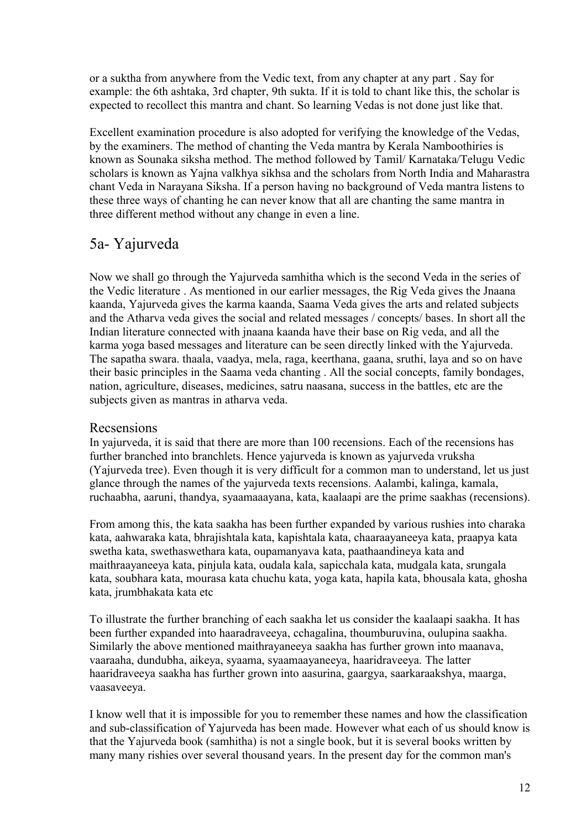or a suktha from anywhere from the Vedic text, from any chapter at any part . Say for example: the 6th ashtaka, 3rd chapter, 9th sukta. If it is told to chant like this, the scholar is expected to recollect this mantra and chant. So learning Vedas is not done just like that.

Excellent examination procedure is also adopted for verifying the knowledge of the Vedas, by the examiners. The method of chanting the Veda mantra by Kerala Namboothiries is known as Sounaka siksha method. The method followed by Tamil/ Karnataka/Telugu Vedic scholars is known as Yajna valkhya sikhsa and the scholars from North India and Maharastra chant Veda in Narayana Siksha. If a person having no background of Veda mantra listens to these three ways of chanting he can never know that all are chanting the same mantra in three different method without any change in even a line.

## 5a- Yajurveda

Now we shall go through the Yajurveda samhitha which is the second Veda in the series of the Vedic literature . As mentioned in our earlier messages, the Rig Veda gives the Jnaana kaanda, Yajurveda gives the karma kaanda, Saama Veda gives the arts and related subjects and the Atharva veda gives the social and related messages / concepts/ bases. In short all the Indian literature connected with jnaana kaanda have their base on Rig veda, and all the karma yoga based messages and literature can be seen directly linked with the Yajurveda. The sapatha swara. thaala, vaadya, mela, raga, keerthana, gaana, sruthi, laya and so on have their basic principles in the Saama veda chanting . All the social concepts, family bondages, nation, agriculture, diseases, medicines, satru naasana, success in the battles, etc are the subjects given as mantras in atharva veda.

### Recsensions

In yajurveda, it is said that there are more than 100 recensions. Each of the recensions has further branched into branchlets. Hence yajurveda is known as yajurveda vruksha (Yajurveda tree). Even though it is very difficult for a common man to understand, let us just glance through the names of the yajurveda texts recensions. Aalambi, kalinga, kamala, ruchaabha, aaruni, thandya, syaamaaayana, kata, kaalaapi are the prime saakhas (recensions).

From among this, the kata saakha has been further expanded by various rushies into charaka kata, aahwaraka kata, bhrajishtala kata, kapishtala kata, chaaraayaneeya kata, praapya kata swetha kata, swethaswethara kata, oupamanyava kata, paathaandineya kata and maithraayaneeya kata, pinjula kata, oudala kala, sapicchala kata, mudgala kata, srungala kata, soubhara kata, mourasa kata chuchu kata, yoga kata, hapila kata, bhousala kata, ghosha kata, jrumbhakata kata etc

To illustrate the further branching of each saakha let us consider the kaalaapi saakha. It has been further expanded into haaradraveeya, cchagalina, thoumburuvina, oulupina saakha. Similarly the above mentioned maithrayaneeya saakha has further grown into maanava, vaaraaha, dundubha, aikeya, syaama, syaamaayaneeya, haaridraveeya. The latter haaridraveeya saakha has further grown into aasurina, gaargya, saarkaraakshya, maarga, vaasaveeya.

I know well that it is impossible for you to remember these names and how the classification and sub-classification of Yajurveda has been made. However what each of us should know is that the Yajurveda book (samhitha) is not a single book, but it is several books written by many many rishies over several thousand years. In the present day for the common man's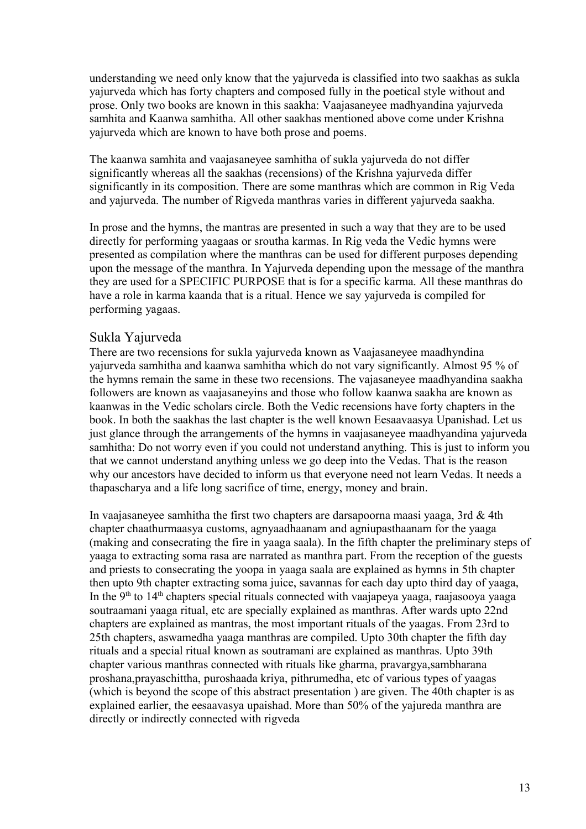understanding we need only know that the yajurveda is classified into two saakhas as sukla yajurveda which has forty chapters and composed fully in the poetical style without and prose. Only two books are known in this saakha: Vaajasaneyee madhyandina yajurveda samhita and Kaanwa samhitha. All other saakhas mentioned above come under Krishna yajurveda which are known to have both prose and poems.

The kaanwa samhita and vaajasaneyee samhitha of sukla yajurveda do not differ significantly whereas all the saakhas (recensions) of the Krishna yajurveda differ significantly in its composition. There are some manthras which are common in Rig Veda and yajurveda. The number of Rigveda manthras varies in different yajurveda saakha.

In prose and the hymns, the mantras are presented in such a way that they are to be used directly for performing yaagaas or sroutha karmas. In Rig veda the Vedic hymns were presented as compilation where the manthras can be used for different purposes depending upon the message of the manthra. In Yajurveda depending upon the message of the manthra they are used for a SPECIFIC PURPOSE that is for a specific karma. All these manthras do have a role in karma kaanda that is a ritual. Hence we say yajurveda is compiled for performing yagaas.

#### Sukla Yajurveda

There are two recensions for sukla yajurveda known as Vaajasaneyee maadhyndina yajurveda samhitha and kaanwa samhitha which do not vary significantly. Almost 95 % of the hymns remain the same in these two recensions. The vajasaneyee maadhyandina saakha followers are known as vaajasaneyins and those who follow kaanwa saakha are known as kaanwas in the Vedic scholars circle. Both the Vedic recensions have forty chapters in the book. In both the saakhas the last chapter is the well known Eesaavaasya Upanishad. Let us just glance through the arrangements of the hymns in vaajasaneyee maadhyandina yajurveda samhitha: Do not worry even if you could not understand anything. This is just to inform you that we cannot understand anything unless we go deep into the Vedas. That is the reason why our ancestors have decided to inform us that everyone need not learn Vedas. It needs a thapascharya and a life long sacrifice of time, energy, money and brain.

In vaajasaneyee samhitha the first two chapters are darsapoorna maasi yaaga, 3rd  $& 4th$ chapter chaathurmaasya customs, agnyaadhaanam and agniupasthaanam for the yaaga (making and consecrating the fire in yaaga saala). In the fifth chapter the preliminary steps of yaaga to extracting soma rasa are narrated as manthra part. From the reception of the guests and priests to consecrating the yoopa in yaaga saala are explained as hymns in 5th chapter then upto 9th chapter extracting soma juice, savannas for each day upto third day of yaaga, In the 9<sup>th</sup> to 14<sup>th</sup> chapters special rituals connected with vaajapeya yaaga, raajasooya yaaga soutraamani yaaga ritual, etc are specially explained as manthras. After wards upto 22nd chapters are explained as mantras, the most important rituals of the yaagas. From 23rd to 25th chapters, aswamedha yaaga manthras are compiled. Upto 30th chapter the fifth day rituals and a special ritual known as soutramani are explained as manthras. Upto 39th chapter various manthras connected with rituals like gharma, pravargya,sambharana proshana,prayaschittha, puroshaada kriya, pithrumedha, etc of various types of yaagas (which is beyond the scope of this abstract presentation ) are given. The 40th chapter is as explained earlier, the eesaavasya upaishad. More than 50% of the yajureda manthra are directly or indirectly connected with rigveda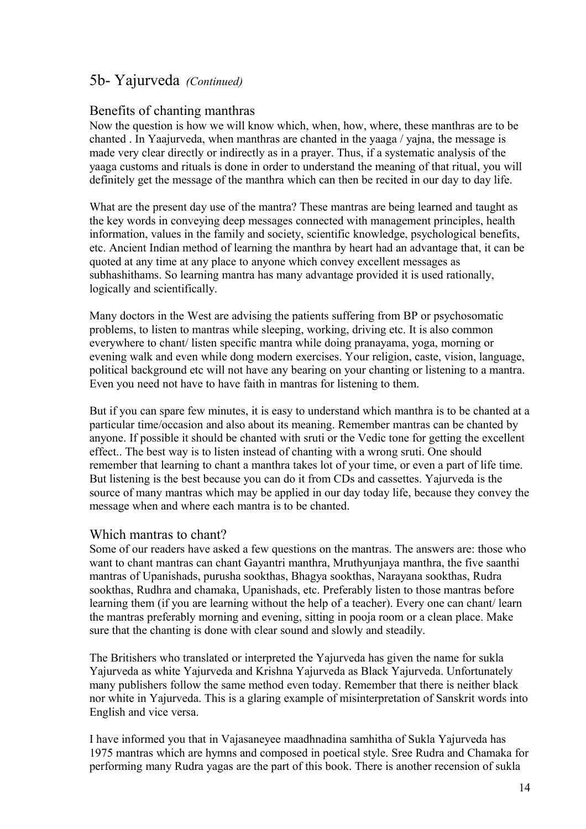## 5b- Yajurveda *(Continued)*

### Benefits of chanting manthras

Now the question is how we will know which, when, how, where, these manthras are to be chanted . In Yaajurveda, when manthras are chanted in the yaaga / yajna, the message is made very clear directly or indirectly as in a prayer. Thus, if a systematic analysis of the yaaga customs and rituals is done in order to understand the meaning of that ritual, you will definitely get the message of the manthra which can then be recited in our day to day life.

What are the present day use of the mantra? These mantras are being learned and taught as the key words in conveying deep messages connected with management principles, health information, values in the family and society, scientific knowledge, psychological benefits, etc. Ancient Indian method of learning the manthra by heart had an advantage that, it can be quoted at any time at any place to anyone which convey excellent messages as subhashithams. So learning mantra has many advantage provided it is used rationally, logically and scientifically.

Many doctors in the West are advising the patients suffering from BP or psychosomatic problems, to listen to mantras while sleeping, working, driving etc. It is also common everywhere to chant/ listen specific mantra while doing pranayama, yoga, morning or evening walk and even while dong modern exercises. Your religion, caste, vision, language, political background etc will not have any bearing on your chanting or listening to a mantra. Even you need not have to have faith in mantras for listening to them.

But if you can spare few minutes, it is easy to understand which manthra is to be chanted at a particular time/occasion and also about its meaning. Remember mantras can be chanted by anyone. If possible it should be chanted with sruti or the Vedic tone for getting the excellent effect.. The best way is to listen instead of chanting with a wrong sruti. One should remember that learning to chant a manthra takes lot of your time, or even a part of life time. But listening is the best because you can do it from CDs and cassettes. Yajurveda is the source of many mantras which may be applied in our day today life, because they convey the message when and where each mantra is to be chanted.

#### Which mantras to chant?

Some of our readers have asked a few questions on the mantras. The answers are: those who want to chant mantras can chant Gayantri manthra, Mruthyunjaya manthra, the five saanthi mantras of Upanishads, purusha sookthas, Bhagya sookthas, Narayana sookthas, Rudra sookthas, Rudhra and chamaka, Upanishads, etc. Preferably listen to those mantras before learning them (if you are learning without the help of a teacher). Every one can chant/ learn the mantras preferably morning and evening, sitting in pooja room or a clean place. Make sure that the chanting is done with clear sound and slowly and steadily.

The Britishers who translated or interpreted the Yajurveda has given the name for sukla Yajurveda as white Yajurveda and Krishna Yajurveda as Black Yajurveda. Unfortunately many publishers follow the same method even today. Remember that there is neither black nor white in Yajurveda. This is a glaring example of misinterpretation of Sanskrit words into English and vice versa.

I have informed you that in Vajasaneyee maadhnadina samhitha of Sukla Yajurveda has 1975 mantras which are hymns and composed in poetical style. Sree Rudra and Chamaka for performing many Rudra yagas are the part of this book. There is another recension of sukla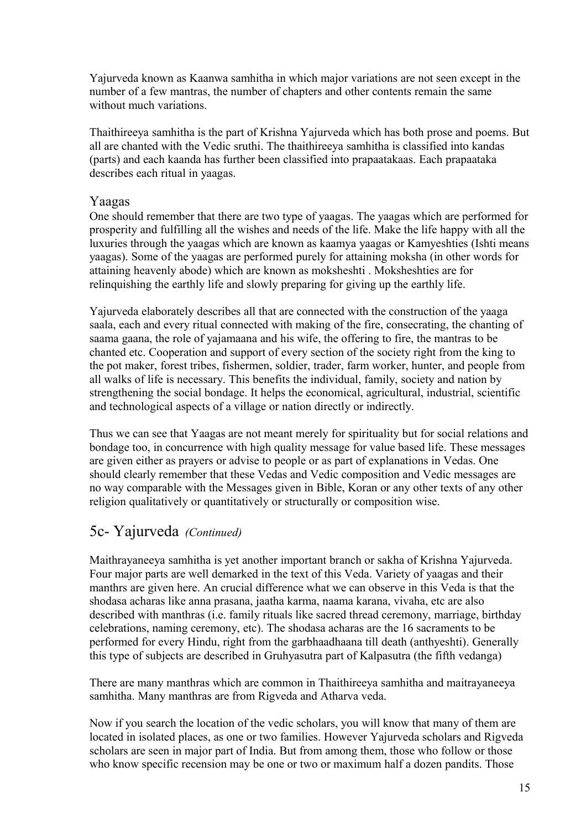Yajurveda known as Kaanwa samhitha in which major variations are not seen except in the number of a few mantras, the number of chapters and other contents remain the same without much variations.

Thaithireeya samhitha is the part of Krishna Yajurveda which has both prose and poems. But all are chanted with the Vedic sruthi. The thaithireeya samhitha is classified into kandas (parts) and each kaanda has further been classified into prapaatakaas. Each prapaataka describes each ritual in yaagas.

### Yaagas

One should remember that there are two type of yaagas. The yaagas which are performed for prosperity and fulfilling all the wishes and needs of the life. Make the life happy with all the luxuries through the yaagas which are known as kaamya yaagas or Kamyeshties (Ishti means yaagas). Some of the yaagas are performed purely for attaining moksha (in other words for attaining heavenly abode) which are known as moksheshti . Moksheshties are for relinquishing the earthly life and slowly preparing for giving up the earthly life.

Yajurveda elaborately describes all that are connected with the construction of the yaaga saala, each and every ritual connected with making of the fire, consecrating, the chanting of saama gaana, the role of yajamaana and his wife, the offering to fire, the mantras to be chanted etc. Cooperation and support of every section of the society right from the king to the pot maker, forest tribes, fishermen, soldier, trader, farm worker, hunter, and people from all walks of life is necessary. This benefits the individual, family, society and nation by strengthening the social bondage. It helps the economical, agricultural, industrial, scientific and technological aspects of a village or nation directly or indirectly.

Thus we can see that Yaagas are not meant merely for spirituality but for social relations and bondage too, in concurrence with high quality message for value based life. These messages are given either as prayers or advise to people or as part of explanations in Vedas. One should clearly remember that these Vedas and Vedic composition and Vedic messages are no way comparable with the Messages given in Bible, Koran or any other texts of any other religion qualitatively or quantitatively or structurally or composition wise.

## 5c- Yajurveda *(Continued)*

Maithrayaneeya samhitha is yet another important branch or sakha of Krishna Yajurveda. Four major parts are well demarked in the text of this Veda. Variety of yaagas and their manthrs are given here. An crucial difference what we can observe in this Veda is that the shodasa acharas like anna prasana, jaatha karma, naama karana, vivaha, etc are also described with manthras (i.e. family rituals like sacred thread ceremony, marriage, birthday celebrations, naming ceremony, etc). The shodasa acharas are the 16 sacraments to be performed for every Hindu, right from the garbhaadhaana till death (anthyeshti). Generally this type of subjects are described in Gruhyasutra part of Kalpasutra (the fifth vedanga)

There are many manthras which are common in Thaithireeya samhitha and maitrayaneeya samhitha. Many manthras are from Rigveda and Atharva veda.

Now if you search the location of the vedic scholars, you will know that many of them are located in isolated places, as one or two families. However Yajurveda scholars and Rigveda scholars are seen in major part of India. But from among them, those who follow or those who know specific recension may be one or two or maximum half a dozen pandits. Those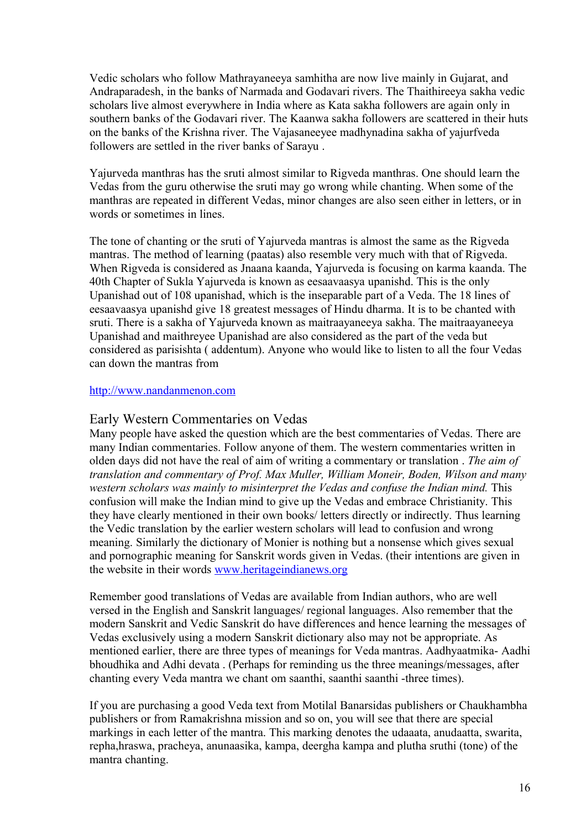Vedic scholars who follow Mathrayaneeya samhitha are now live mainly in Gujarat, and Andraparadesh, in the banks of Narmada and Godavari rivers. The Thaithireeya sakha vedic scholars live almost everywhere in India where as Kata sakha followers are again only in southern banks of the Godavari river. The Kaanwa sakha followers are scattered in their huts on the banks of the Krishna river. The Vajasaneeyee madhynadina sakha of yajurfveda followers are settled in the river banks of Sarayu .

Yajurveda manthras has the sruti almost similar to Rigveda manthras. One should learn the Vedas from the guru otherwise the sruti may go wrong while chanting. When some of the manthras are repeated in different Vedas, minor changes are also seen either in letters, or in words or sometimes in lines.

The tone of chanting or the sruti of Yajurveda mantras is almost the same as the Rigveda mantras. The method of learning (paatas) also resemble very much with that of Rigveda. When Rigveda is considered as Jnaana kaanda, Yajurveda is focusing on karma kaanda. The 40th Chapter of Sukla Yajurveda is known as eesaavaasya upanishd. This is the only Upanishad out of 108 upanishad, which is the inseparable part of a Veda. The 18 lines of eesaavaasya upanishd give 18 greatest messages of Hindu dharma. It is to be chanted with sruti. There is a sakha of Yajurveda known as maitraayaneeya sakha. The maitraayaneeya Upanishad and maithreyee Upanishad are also considered as the part of the veda but considered as parisishta ( addentum). Anyone who would like to listen to all the four Vedas can down the mantras from

#### [http://www.nandanmenon.com](http://www.nandanmenon.com/)

#### Early Western Commentaries on Vedas

Many people have asked the question which are the best commentaries of Vedas. There are many Indian commentaries. Follow anyone of them. The western commentaries written in olden days did not have the real of aim of writing a commentary or translation . *The aim of translation and commentary of Prof. Max Muller, William Moneir, Boden, Wilson and many western scholars was mainly to misinterpret the Vedas and confuse the Indian mind.* This confusion will make the Indian mind to give up the Vedas and embrace Christianity. This they have clearly mentioned in their own books/ letters directly or indirectly. Thus learning the Vedic translation by the earlier western scholars will lead to confusion and wrong meaning. Similarly the dictionary of Monier is nothing but a nonsense which gives sexual and pornographic meaning for Sanskrit words given in Vedas. (their intentions are given in the website in their words [www.heritageindianews.org](http://www.heritageindianews.org/)

Remember good translations of Vedas are available from Indian authors, who are well versed in the English and Sanskrit languages/ regional languages. Also remember that the modern Sanskrit and Vedic Sanskrit do have differences and hence learning the messages of Vedas exclusively using a modern Sanskrit dictionary also may not be appropriate. As mentioned earlier, there are three types of meanings for Veda mantras. Aadhyaatmika- Aadhi bhoudhika and Adhi devata . (Perhaps for reminding us the three meanings/messages, after chanting every Veda mantra we chant om saanthi, saanthi saanthi -three times).

If you are purchasing a good Veda text from Motilal Banarsidas publishers or Chaukhambha publishers or from Ramakrishna mission and so on, you will see that there are special markings in each letter of the mantra. This marking denotes the udaaata, anudaatta, swarita, repha,hraswa, pracheya, anunaasika, kampa, deergha kampa and plutha sruthi (tone) of the mantra chanting.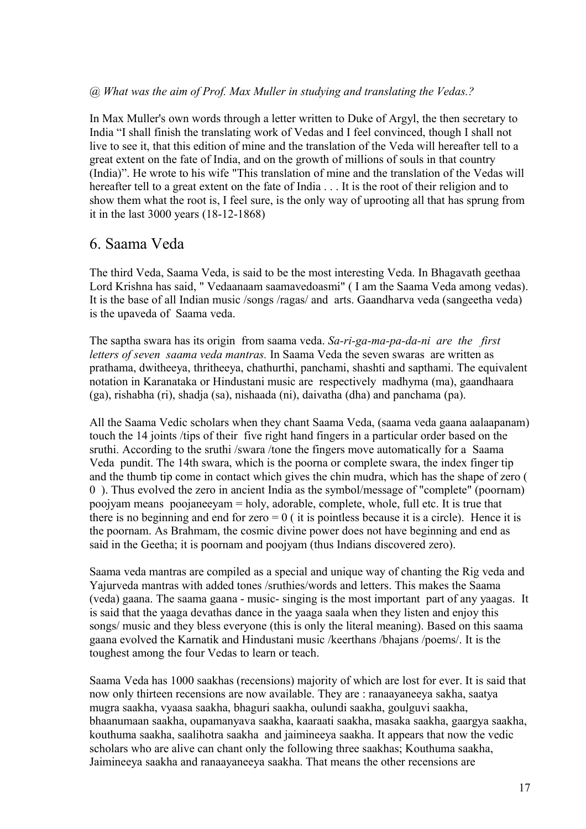#### *@ What was the aim of Prof. Max Muller in studying and translating the Vedas.?*

In Max Muller's own words through a letter written to Duke of Argyl, the then secretary to India "I shall finish the translating work of Vedas and I feel convinced, though I shall not live to see it, that this edition of mine and the translation of the Veda will hereafter tell to a great extent on the fate of India, and on the growth of millions of souls in that country (India)". He wrote to his wife "This translation of mine and the translation of the Vedas will hereafter tell to a great extent on the fate of India . . . It is the root of their religion and to show them what the root is, I feel sure, is the only way of uprooting all that has sprung from it in the last 3000 years (18-12-1868)

### 6. Saama Veda

The third Veda, Saama Veda, is said to be the most interesting Veda. In Bhagavath geethaa Lord Krishna has said, " Vedaanaam saamavedoasmi" ( I am the Saama Veda among vedas). It is the base of all Indian music /songs /ragas/ and arts. Gaandharva veda (sangeetha veda) is the upaveda of Saama veda.

The saptha swara has its origin from saama veda. *Sa-ri-ga-ma-pa-da-ni are the first letters of seven saama veda mantras.* In Saama Veda the seven swaras are written as prathama, dwitheeya, thritheeya, chathurthi, panchami, shashti and sapthami. The equivalent notation in Karanataka or Hindustani music are respectively madhyma (ma), gaandhaara (ga), rishabha (ri), shadja (sa), nishaada (ni), daivatha (dha) and panchama (pa).

All the Saama Vedic scholars when they chant Saama Veda, (saama veda gaana aalaapanam) touch the 14 joints /tips of their five right hand fingers in a particular order based on the sruthi. According to the sruthi /swara /tone the fingers move automatically for a Saama Veda pundit. The 14th swara, which is the poorna or complete swara, the index finger tip and the thumb tip come in contact which gives the chin mudra, which has the shape of zero ( 0 ). Thus evolved the zero in ancient India as the symbol/message of "complete" (poornam) poojyam means poojaneeyam = holy, adorable, complete, whole, full etc. It is true that there is no beginning and end for zero  $= 0$  (it is pointless because it is a circle). Hence it is the poornam. As Brahmam, the cosmic divine power does not have beginning and end as said in the Geetha; it is poornam and poojyam (thus Indians discovered zero).

Saama veda mantras are compiled as a special and unique way of chanting the Rig veda and Yajurveda mantras with added tones /sruthies/words and letters. This makes the Saama (veda) gaana. The saama gaana - music- singing is the most important part of any yaagas. It is said that the yaaga devathas dance in the yaaga saala when they listen and enjoy this songs/ music and they bless everyone (this is only the literal meaning). Based on this saama gaana evolved the Karnatik and Hindustani music /keerthans /bhajans /poems/. It is the toughest among the four Vedas to learn or teach.

Saama Veda has 1000 saakhas (recensions) majority of which are lost for ever. It is said that now only thirteen recensions are now available. They are : ranaayaneeya sakha, saatya mugra saakha, vyaasa saakha, bhaguri saakha, oulundi saakha, goulguvi saakha, bhaanumaan saakha, oupamanyava saakha, kaaraati saakha, masaka saakha, gaargya saakha, kouthuma saakha, saalihotra saakha and jaimineeya saakha. It appears that now the vedic scholars who are alive can chant only the following three saakhas; Kouthuma saakha, Jaimineeya saakha and ranaayaneeya saakha. That means the other recensions are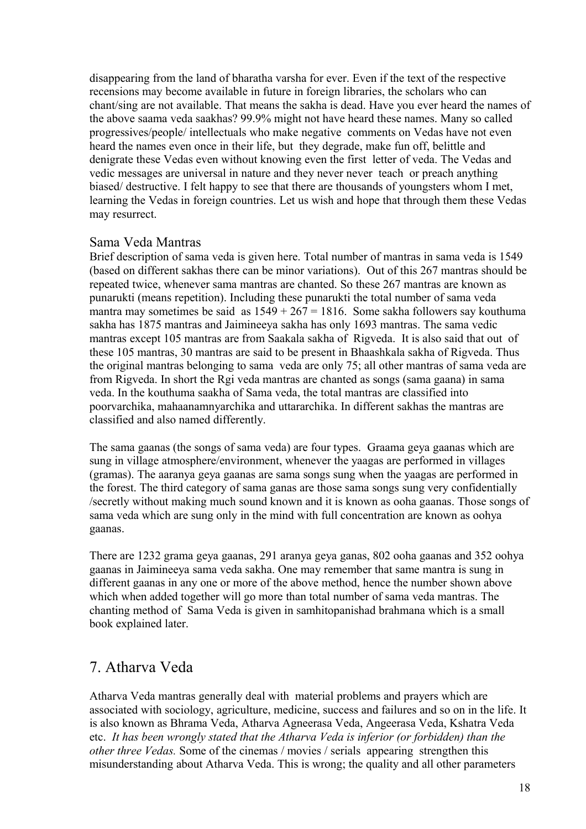disappearing from the land of bharatha varsha for ever. Even if the text of the respective recensions may become available in future in foreign libraries, the scholars who can chant/sing are not available. That means the sakha is dead. Have you ever heard the names of the above saama veda saakhas? 99.9% might not have heard these names. Many so called progressives/people/ intellectuals who make negative comments on Vedas have not even heard the names even once in their life, but they degrade, make fun off, belittle and denigrate these Vedas even without knowing even the first letter of veda. The Vedas and vedic messages are universal in nature and they never never teach or preach anything biased/ destructive. I felt happy to see that there are thousands of youngsters whom I met, learning the Vedas in foreign countries. Let us wish and hope that through them these Vedas may resurrect.

### Sama Veda Mantras

Brief description of sama veda is given here. Total number of mantras in sama veda is 1549 (based on different sakhas there can be minor variations). Out of this 267 mantras should be repeated twice, whenever sama mantras are chanted. So these 267 mantras are known as punarukti (means repetition). Including these punarukti the total number of sama veda mantra may sometimes be said as  $1549 + 267 = 1816$ . Some sakha followers say kouthuma sakha has 1875 mantras and Jaimineeya sakha has only 1693 mantras. The sama vedic mantras except 105 mantras are from Saakala sakha of Rigveda. It is also said that out of these 105 mantras, 30 mantras are said to be present in Bhaashkala sakha of Rigveda. Thus the original mantras belonging to sama veda are only 75; all other mantras of sama veda are from Rigveda. In short the Rgi veda mantras are chanted as songs (sama gaana) in sama veda. In the kouthuma saakha of Sama veda, the total mantras are classified into poorvarchika, mahaanamnyarchika and uttararchika. In different sakhas the mantras are classified and also named differently.

The sama gaanas (the songs of sama veda) are four types. Graama geya gaanas which are sung in village atmosphere/environment, whenever the yaagas are performed in villages (gramas). The aaranya geya gaanas are sama songs sung when the yaagas are performed in the forest. The third category of sama ganas are those sama songs sung very confidentially /secretly without making much sound known and it is known as ooha gaanas. Those songs of sama veda which are sung only in the mind with full concentration are known as oohya gaanas.

There are 1232 grama geya gaanas, 291 aranya geya ganas, 802 ooha gaanas and 352 oohya gaanas in Jaimineeya sama veda sakha. One may remember that same mantra is sung in different gaanas in any one or more of the above method, hence the number shown above which when added together will go more than total number of sama veda mantras. The chanting method of Sama Veda is given in samhitopanishad brahmana which is a small book explained later.

## 7. Atharva Veda

Atharva Veda mantras generally deal with material problems and prayers which are associated with sociology, agriculture, medicine, success and failures and so on in the life. It is also known as Bhrama Veda, Atharva Agneerasa Veda, Angeerasa Veda, Kshatra Veda etc. *It has been wrongly stated that the Atharva Veda is inferior (or forbidden) than the other three Vedas.* Some of the cinemas / movies / serials appearing strengthen this misunderstanding about Atharva Veda. This is wrong; the quality and all other parameters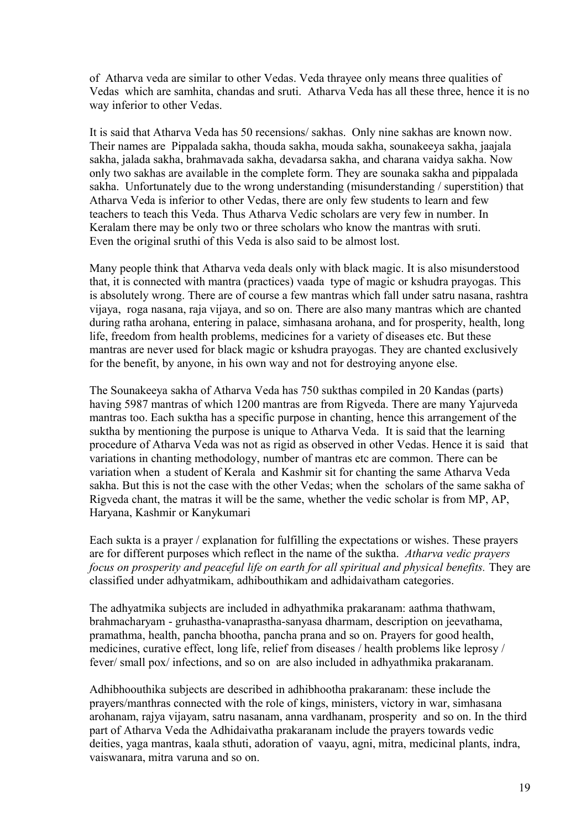of Atharva veda are similar to other Vedas. Veda thrayee only means three qualities of Vedas which are samhita, chandas and sruti. Atharva Veda has all these three, hence it is no way inferior to other Vedas.

It is said that Atharva Veda has 50 recensions/ sakhas. Only nine sakhas are known now. Their names are Pippalada sakha, thouda sakha, mouda sakha, sounakeeya sakha, jaajala sakha, jalada sakha, brahmavada sakha, devadarsa sakha, and charana vaidya sakha. Now only two sakhas are available in the complete form. They are sounaka sakha and pippalada sakha. Unfortunately due to the wrong understanding (misunderstanding / superstition) that Atharva Veda is inferior to other Vedas, there are only few students to learn and few teachers to teach this Veda. Thus Atharva Vedic scholars are very few in number. In Keralam there may be only two or three scholars who know the mantras with sruti. Even the original sruthi of this Veda is also said to be almost lost.

Many people think that Atharva veda deals only with black magic. It is also misunderstood that, it is connected with mantra (practices) vaada type of magic or kshudra prayogas. This is absolutely wrong. There are of course a few mantras which fall under satru nasana, rashtra vijaya, roga nasana, raja vijaya, and so on. There are also many mantras which are chanted during ratha arohana, entering in palace, simhasana arohana, and for prosperity, health, long life, freedom from health problems, medicines for a variety of diseases etc. But these mantras are never used for black magic or kshudra prayogas. They are chanted exclusively for the benefit, by anyone, in his own way and not for destroying anyone else.

The Sounakeeya sakha of Atharva Veda has 750 sukthas compiled in 20 Kandas (parts) having 5987 mantras of which 1200 mantras are from Rigveda. There are many Yajurveda mantras too. Each suktha has a specific purpose in chanting, hence this arrangement of the suktha by mentioning the purpose is unique to Atharva Veda. It is said that the learning procedure of Atharva Veda was not as rigid as observed in other Vedas. Hence it is said that variations in chanting methodology, number of mantras etc are common. There can be variation when a student of Kerala and Kashmir sit for chanting the same Atharva Veda sakha. But this is not the case with the other Vedas; when the scholars of the same sakha of Rigveda chant, the matras it will be the same, whether the vedic scholar is from MP, AP, Haryana, Kashmir or Kanykumari

Each sukta is a prayer / explanation for fulfilling the expectations or wishes. These prayers are for different purposes which reflect in the name of the suktha. *Atharva vedic prayers focus on prosperity and peaceful life on earth for all spiritual and physical benefits.* They are classified under adhyatmikam, adhibouthikam and adhidaivatham categories.

The adhyatmika subjects are included in adhyathmika prakaranam: aathma thathwam, brahmacharyam - gruhastha-vanaprastha-sanyasa dharmam, description on jeevathama, pramathma, health, pancha bhootha, pancha prana and so on. Prayers for good health, medicines, curative effect, long life, relief from diseases / health problems like leprosy / fever/ small pox/ infections, and so on are also included in adhyathmika prakaranam.

Adhibhoouthika subjects are described in adhibhootha prakaranam: these include the prayers/manthras connected with the role of kings, ministers, victory in war, simhasana arohanam, rajya vijayam, satru nasanam, anna vardhanam, prosperity and so on. In the third part of Atharva Veda the Adhidaivatha prakaranam include the prayers towards vedic deities, yaga mantras, kaala sthuti, adoration of vaayu, agni, mitra, medicinal plants, indra, vaiswanara, mitra varuna and so on.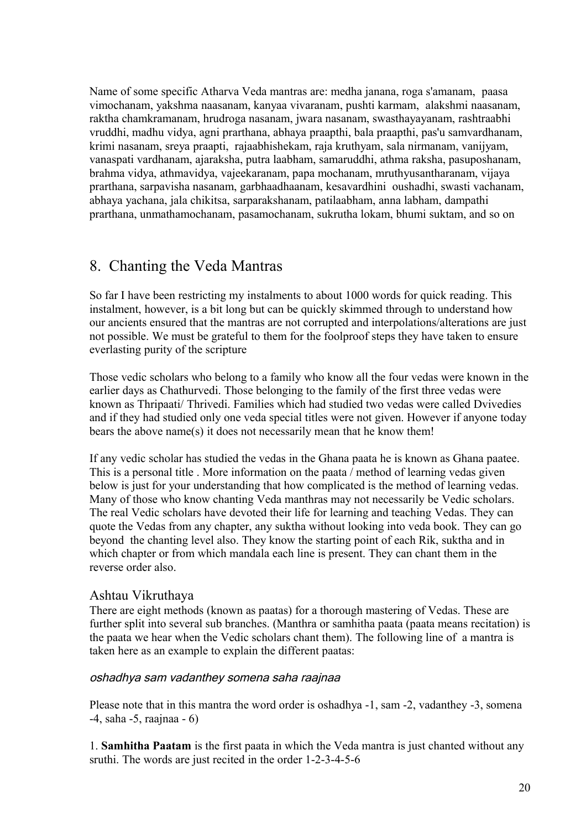Name of some specific Atharva Veda mantras are: medha janana, roga s'amanam, paasa vimochanam, yakshma naasanam, kanyaa vivaranam, pushti karmam, alakshmi naasanam, raktha chamkramanam, hrudroga nasanam, jwara nasanam, swasthayayanam, rashtraabhi vruddhi, madhu vidya, agni prarthana, abhaya praapthi, bala praapthi, pas'u samvardhanam, krimi nasanam, sreya praapti, rajaabhishekam, raja kruthyam, sala nirmanam, vanijyam, vanaspati vardhanam, ajaraksha, putra laabham, samaruddhi, athma raksha, pasuposhanam, brahma vidya, athmavidya, vajeekaranam, papa mochanam, mruthyusantharanam, vijaya prarthana, sarpavisha nasanam, garbhaadhaanam, kesavardhini oushadhi, swasti vachanam, abhaya yachana, jala chikitsa, sarparakshanam, patilaabham, anna labham, dampathi prarthana, unmathamochanam, pasamochanam, sukrutha lokam, bhumi suktam, and so on

## 8. Chanting the Veda Mantras

So far I have been restricting my instalments to about 1000 words for quick reading. This instalment, however, is a bit long but can be quickly skimmed through to understand how our ancients ensured that the mantras are not corrupted and interpolations/alterations are just not possible. We must be grateful to them for the foolproof steps they have taken to ensure everlasting purity of the scripture

Those vedic scholars who belong to a family who know all the four vedas were known in the earlier days as Chathurvedi. Those belonging to the family of the first three vedas were known as Thripaati/ Thrivedi. Families which had studied two vedas were called Dvivedies and if they had studied only one veda special titles were not given. However if anyone today bears the above name(s) it does not necessarily mean that he know them!

If any vedic scholar has studied the vedas in the Ghana paata he is known as Ghana paatee. This is a personal title . More information on the paata / method of learning vedas given below is just for your understanding that how complicated is the method of learning vedas. Many of those who know chanting Veda manthras may not necessarily be Vedic scholars. The real Vedic scholars have devoted their life for learning and teaching Vedas. They can quote the Vedas from any chapter, any suktha without looking into veda book. They can go beyond the chanting level also. They know the starting point of each Rik, suktha and in which chapter or from which mandala each line is present. They can chant them in the reverse order also.

### Ashtau Vikruthaya

There are eight methods (known as paatas) for a thorough mastering of Vedas. These are further split into several sub branches. (Manthra or samhitha paata (paata means recitation) is the paata we hear when the Vedic scholars chant them). The following line of a mantra is taken here as an example to explain the different paatas:

#### oshadhya sam vadanthey somena saha raajnaa

Please note that in this mantra the word order is oshadhya -1, sam -2, vadanthey -3, somena -4, saha -5, raajnaa - 6)

1. **Samhitha Paatam** is the first paata in which the Veda mantra is just chanted without any sruthi. The words are just recited in the order 1-2-3-4-5-6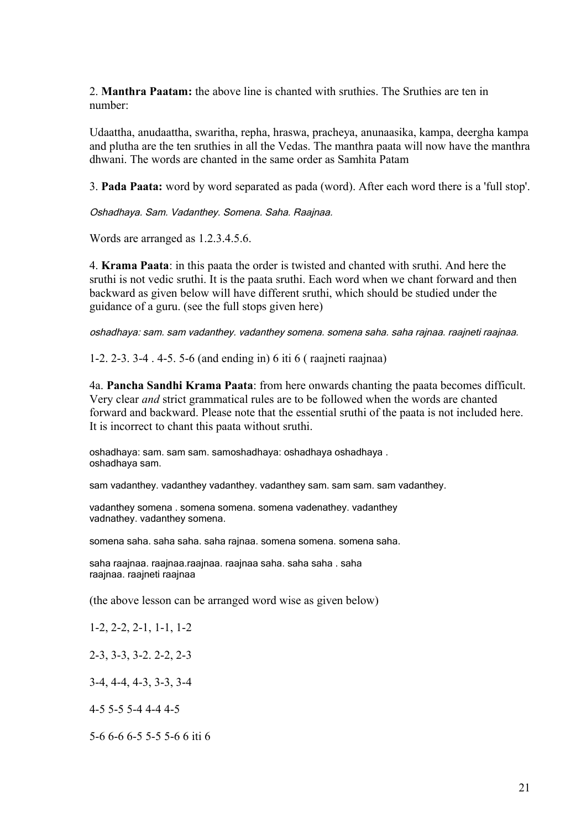2. **Manthra Paatam:** the above line is chanted with sruthies. The Sruthies are ten in number:

Udaattha, anudaattha, swaritha, repha, hraswa, pracheya, anunaasika, kampa, deergha kampa and plutha are the ten sruthies in all the Vedas. The manthra paata will now have the manthra dhwani. The words are chanted in the same order as Samhita Patam

3. **Pada Paata:** word by word separated as pada (word). After each word there is a 'full stop'.

Oshadhaya. Sam. Vadanthey. Somena. Saha. Raajnaa.

Words are arranged as 1.2.3.4.5.6.

4. **Krama Paata**: in this paata the order is twisted and chanted with sruthi. And here the sruthi is not vedic sruthi. It is the paata sruthi. Each word when we chant forward and then backward as given below will have different sruthi, which should be studied under the guidance of a guru. (see the full stops given here)

oshadhaya: sam. sam vadanthey. vadanthey somena. somena saha. saha rajnaa. raajneti raajnaa.

1-2. 2-3. 3-4 . 4-5. 5-6 (and ending in) 6 iti 6 ( raajneti raajnaa)

4a. **Pancha Sandhi Krama Paata**: from here onwards chanting the paata becomes difficult. Very clear *and* strict grammatical rules are to be followed when the words are chanted forward and backward. Please note that the essential sruthi of the paata is not included here. It is incorrect to chant this paata without sruthi.

oshadhaya: sam. sam sam. samoshadhaya: oshadhaya oshadhaya . oshadhaya sam.

sam vadanthey. vadanthey vadanthey. vadanthey sam. sam sam. sam vadanthey.

vadanthey somena . somena somena. somena vadenathey. vadanthey vadnathey. vadanthey somena.

somena saha. saha saha. saha rajnaa. somena somena. somena saha.

saha raajnaa. raajnaa.raajnaa. raajnaa saha. saha saha . saha raajnaa. raajneti raajnaa

(the above lesson can be arranged word wise as given below)

1-2, 2-2, 2-1, 1-1, 1-2

2-3, 3-3, 3-2. 2-2, 2-3

3-4, 4-4, 4-3, 3-3, 3-4

4-5 5-5 5-4 4-4 4-5

5-6 6-6 6-5 5-5 5-6 6 iti 6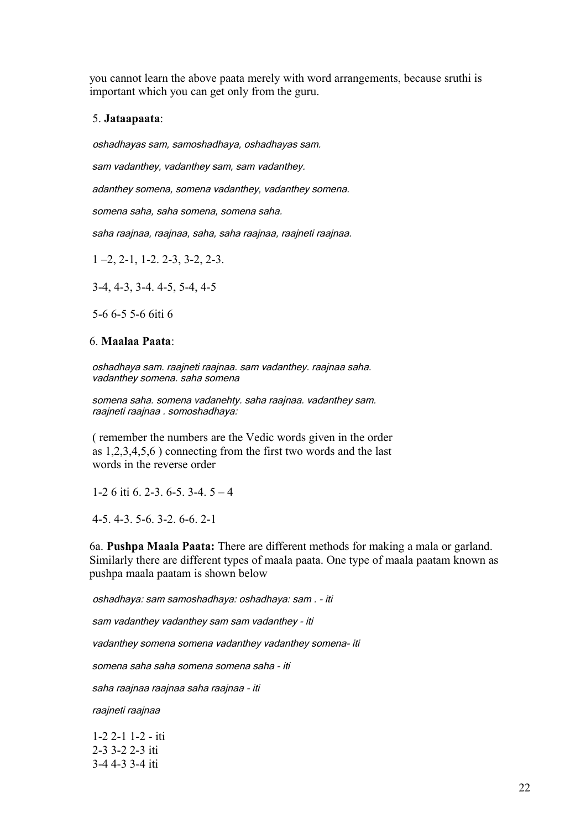you cannot learn the above paata merely with word arrangements, because sruthi is important which you can get only from the guru.

#### 5. **Jataapaata**:

oshadhayas sam, samoshadhaya, oshadhayas sam.

sam vadanthey, vadanthey sam, sam vadanthey.

adanthey somena, somena vadanthey, vadanthey somena.

somena saha, saha somena, somena saha.

saha raajnaa, raajnaa, saha, saha raajnaa, raajneti raajnaa.

1 –2, 2-1, 1-2. 2-3, 3-2, 2-3.

3-4, 4-3, 3-4. 4-5, 5-4, 4-5

5-6 6-5 5-6 6iti 6

#### 6. **Maalaa Paata**:

 oshadhaya sam. raajneti raajnaa. sam vadanthey. raajnaa saha. vadanthey somena. saha somena

 somena saha. somena vadanehty. saha raajnaa. vadanthey sam. raajneti raajnaa . somoshadhaya:

 ( remember the numbers are the Vedic words given in the order as 1,2,3,4,5,6 ) connecting from the first two words and the last words in the reverse order

1-2 6 iti 6. 2-3. 6-5. 3-4. 5 – 4

4-5. 4-3. 5-6. 3-2. 6-6. 2-1

6a. **Pushpa Maala Paata:** There are different methods for making a mala or garland. Similarly there are different types of maala paata. One type of maala paatam known as pushpa maala paatam is shown below

oshadhaya: sam samoshadhaya: oshadhaya: sam . - iti

sam vadanthey vadanthey sam sam vadanthey - iti

vadanthey somena somena vadanthey vadanthey somena- iti

somena saha saha somena somena saha - iti

saha raajnaa raajnaa saha raajnaa - iti

raajneti raajnaa

 1-2 2-1 1-2 - iti 2-3 3-2 2-3 iti 3-4 4-3 3-4 iti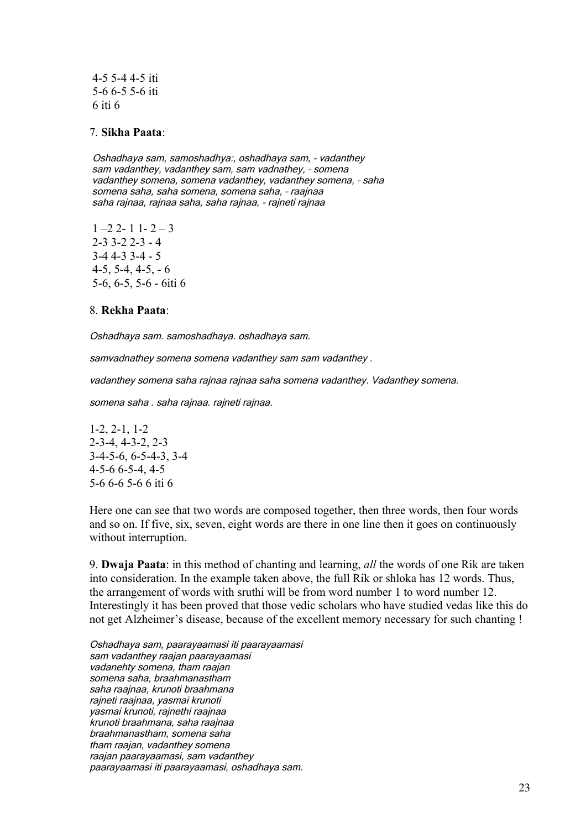4-5 5-4 4-5 iti 5-6 6-5 5-6 iti 6 iti 6

#### 7. **Sikha Paata**:

Oshadhaya sam, samoshadhya:, oshadhaya sam, - vadanthey sam vadanthey, vadanthey sam, sam vadnathey, – somena vadanthey somena, somena vadanthey, vadanthey somena, – saha somena saha, saha somena, somena saha, – raajnaa saha rajnaa, rajnaa saha, saha rajnaa, - rajneti rajnaa

 $1 - 22 - 11 - 2 - 3$  2-3 3-2 2-3 - 4 3-4 4-3 3-4 - 5  $4-5, 5-4, 4-5, -6$ 5-6, 6-5, 5-6 - 6iti 6

#### 8. **Rekha Paata**:

Oshadhaya sam. samoshadhaya. oshadhaya sam.

samvadnathey somena somena vadanthey sam sam vadanthey.

vadanthey somena saha rajnaa rajnaa saha somena vadanthey. Vadanthey somena.

somena saha . saha rajnaa. rajneti rajnaa.

1-2, 2-1, 1-2 2-3-4, 4-3-2, 2-3 3-4-5-6, 6-5-4-3, 3-4 4-5-6 6-5-4, 4-5 5-6 6-6 5-6 6 iti 6

Here one can see that two words are composed together, then three words, then four words and so on. If five, six, seven, eight words are there in one line then it goes on continuously without interruption.

9. **Dwaja Paata**: in this method of chanting and learning, *all* the words of one Rik are taken into consideration. In the example taken above, the full Rik or shloka has 12 words. Thus, the arrangement of words with sruthi will be from word number 1 to word number 12. Interestingly it has been proved that those vedic scholars who have studied vedas like this do not get Alzheimer's disease, because of the excellent memory necessary for such chanting !

Oshadhaya sam, paarayaamasi iti paarayaamasi sam vadanthey raajan paarayaamasi vadanehty somena, tham raajan somena saha, braahmanastham saha raajnaa, krunoti braahmana rajneti raajnaa, yasmai krunoti yasmai krunoti, rajnethi raajnaa krunoti braahmana, saha raajnaa braahmanastham, somena saha tham raajan, vadanthey somena raajan paarayaamasi, sam vadanthey paarayaamasi iti paarayaamasi, oshadhaya sam.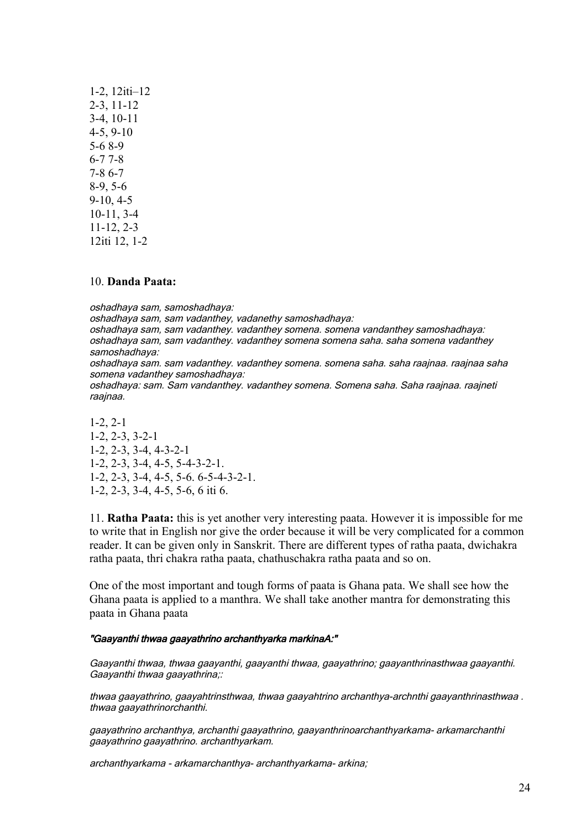| $1-2$ , $12$ iti $-12$ |
|------------------------|
| $2-3$ , 11 $-12$       |
| $3-4$ , 10-11          |
| $4-5, 9-10$            |
| $5-68-9$               |
| $6 - 77 - 8$           |
| $7 - 86 - 7$           |
| $8-9, 5-6$             |
| $9-10, 4-5$            |
| $10-11, 3-4$           |
| $11-12, 2-3$           |
| 12iti 12, 1-2          |

#### 10. **Danda Paata:**

oshadhaya sam, samoshadhaya:

oshadhaya sam, sam vadanthey, vadanethy samoshadhaya:

oshadhaya sam, sam vadanthey. vadanthey somena. somena vandanthey samoshadhaya: oshadhaya sam, sam vadanthey. vadanthey somena somena saha. saha somena vadanthey samoshadhaya:

oshadhaya sam. sam vadanthey. vadanthey somena. somena saha. saha raajnaa. raajnaa saha somena vadanthey samoshadhaya:

oshadhaya: sam. Sam vandanthey. vadanthey somena. Somena saha. Saha raajnaa. raajneti raajnaa.

1-2, 2-1 1-2, 2-3, 3-2-1 1-2, 2-3, 3-4, 4-3-2-1 1-2, 2-3, 3-4, 4-5, 5-4-3-2-1. 1-2, 2-3, 3-4, 4-5, 5-6. 6-5-4-3-2-1. 1-2, 2-3, 3-4, 4-5, 5-6, 6 iti 6.

11. **Ratha Paata:** this is yet another very interesting paata. However it is impossible for me to write that in English nor give the order because it will be very complicated for a common reader. It can be given only in Sanskrit. There are different types of ratha paata, dwichakra ratha paata, thri chakra ratha paata, chathuschakra ratha paata and so on.

One of the most important and tough forms of paata is Ghana pata. We shall see how the Ghana paata is applied to a manthra. We shall take another mantra for demonstrating this paata in Ghana paata

#### "Gaayanthi thwaa gaayathrino archanthyarka markinaA:"

Gaayanthi thwaa, thwaa gaayanthi, gaayanthi thwaa, gaayathrino; gaayanthrinasthwaa gaayanthi. Gaayanthi thwaa gaayathrina:

thwaa gaayathrino, gaayahtrinsthwaa, thwaa gaayahtrino archanthya-archnthi gaayanthrinasthwaa . thwaa gaayathrinorchanthi.

gaayathrino archanthya, archanthi gaayathrino, gaayanthrinoarchanthyarkama- arkamarchanthi gaayathrino gaayathrino. archanthyarkam.

archanthyarkama - arkamarchanthya- archanthyarkama- arkina;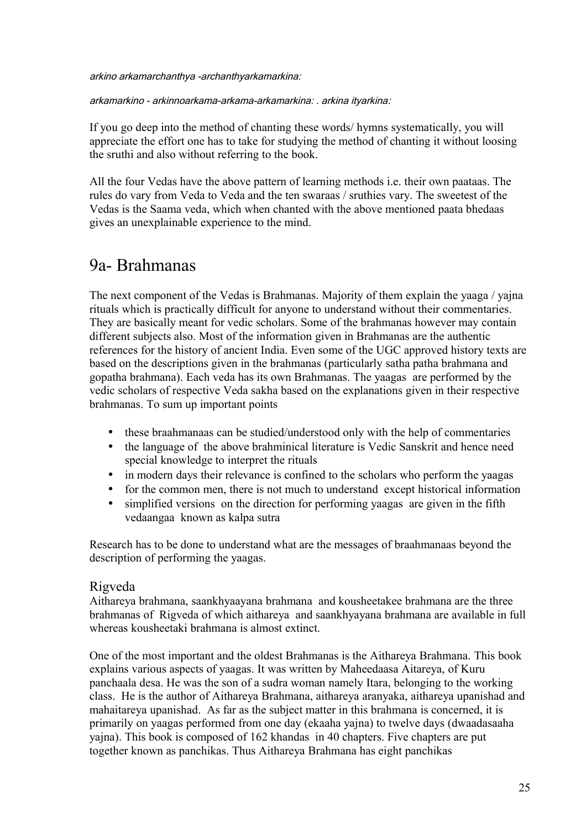arkino arkamarchanthya -archanthyarkamarkina:

arkamarkino - arkinnoarkama-arkama-arkamarkina: . arkina ityarkina*:*

If you go deep into the method of chanting these words/ hymns systematically, you will appreciate the effort one has to take for studying the method of chanting it without loosing the sruthi and also without referring to the book.

All the four Vedas have the above pattern of learning methods i.e. their own paataas. The rules do vary from Veda to Veda and the ten swaraas / sruthies vary. The sweetest of the Vedas is the Saama veda, which when chanted with the above mentioned paata bhedaas gives an unexplainable experience to the mind.

## 9a- Brahmanas

The next component of the Vedas is Brahmanas. Majority of them explain the yaaga / yajna rituals which is practically difficult for anyone to understand without their commentaries. They are basically meant for vedic scholars. Some of the brahmanas however may contain different subjects also. Most of the information given in Brahmanas are the authentic references for the history of ancient India. Even some of the UGC approved history texts are based on the descriptions given in the brahmanas (particularly satha patha brahmana and gopatha brahmana). Each veda has its own Brahmanas. The yaagas are performed by the vedic scholars of respective Veda sakha based on the explanations given in their respective brahmanas. To sum up important points

- these braahmanaas can be studied/understood only with the help of commentaries
- the language of the above brahminical literature is Vedic Sanskrit and hence need special knowledge to interpret the rituals
- in modern days their relevance is confined to the scholars who perform the yaagas
- for the common men, there is not much to understand except historical information
- simplified versions on the direction for performing yaagas are given in the fifth vedaangaa known as kalpa sutra

Research has to be done to understand what are the messages of braahmanaas beyond the description of performing the yaagas.

#### Rigveda

Aithareya brahmana, saankhyaayana brahmana and kousheetakee brahmana are the three brahmanas of Rigveda of which aithareya and saankhyayana brahmana are available in full whereas kousheetaki brahmana is almost extinct.

One of the most important and the oldest Brahmanas is the Aithareya Brahmana. This book explains various aspects of yaagas. It was written by Maheedaasa Aitareya, of Kuru panchaala desa. He was the son of a sudra woman namely Itara, belonging to the working class. He is the author of Aithareya Brahmana, aithareya aranyaka, aithareya upanishad and mahaitareya upanishad. As far as the subject matter in this brahmana is concerned, it is primarily on yaagas performed from one day (ekaaha yajna) to twelve days (dwaadasaaha yajna). This book is composed of 162 khandas in 40 chapters. Five chapters are put together known as panchikas. Thus Aithareya Brahmana has eight panchikas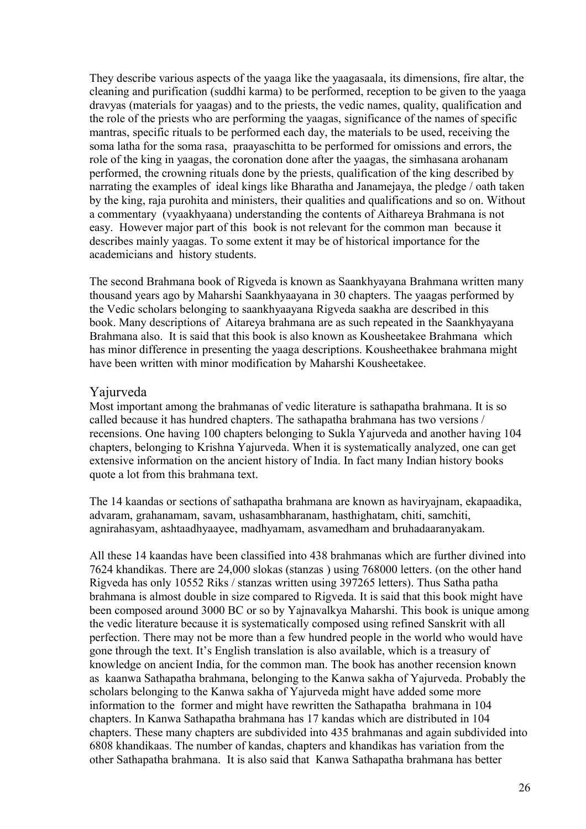They describe various aspects of the yaaga like the yaagasaala, its dimensions, fire altar, the cleaning and purification (suddhi karma) to be performed, reception to be given to the yaaga dravyas (materials for yaagas) and to the priests, the vedic names, quality, qualification and the role of the priests who are performing the yaagas, significance of the names of specific mantras, specific rituals to be performed each day, the materials to be used, receiving the soma latha for the soma rasa, praayaschitta to be performed for omissions and errors, the role of the king in yaagas, the coronation done after the yaagas, the simhasana arohanam performed, the crowning rituals done by the priests, qualification of the king described by narrating the examples of ideal kings like Bharatha and Janamejaya, the pledge / oath taken by the king, raja purohita and ministers, their qualities and qualifications and so on. Without a commentary (vyaakhyaana) understanding the contents of Aithareya Brahmana is not easy. However major part of this book is not relevant for the common man because it describes mainly yaagas. To some extent it may be of historical importance for the academicians and history students.

The second Brahmana book of Rigveda is known as Saankhyayana Brahmana written many thousand years ago by Maharshi Saankhyaayana in 30 chapters. The yaagas performed by the Vedic scholars belonging to saankhyaayana Rigveda saakha are described in this book. Many descriptions of Aitareya brahmana are as such repeated in the Saankhyayana Brahmana also. It is said that this book is also known as Kousheetakee Brahmana which has minor difference in presenting the yaaga descriptions. Kousheethakee brahmana might have been written with minor modification by Maharshi Kousheetakee.

### Yajurveda

Most important among the brahmanas of vedic literature is sathapatha brahmana. It is so called because it has hundred chapters. The sathapatha brahmana has two versions / recensions. One having 100 chapters belonging to Sukla Yajurveda and another having 104 chapters, belonging to Krishna Yajurveda. When it is systematically analyzed, one can get extensive information on the ancient history of India. In fact many Indian history books quote a lot from this brahmana text.

The 14 kaandas or sections of sathapatha brahmana are known as haviryajnam, ekapaadika, advaram, grahanamam, savam, ushasambharanam, hasthighatam, chiti, samchiti, agnirahasyam, ashtaadhyaayee, madhyamam, asvamedham and bruhadaaranyakam.

All these 14 kaandas have been classified into 438 brahmanas which are further divined into 7624 khandikas. There are 24,000 slokas (stanzas ) using 768000 letters. (on the other hand Rigveda has only 10552 Riks / stanzas written using 397265 letters). Thus Satha patha brahmana is almost double in size compared to Rigveda. It is said that this book might have been composed around 3000 BC or so by Yajnavalkya Maharshi. This book is unique among the vedic literature because it is systematically composed using refined Sanskrit with all perfection. There may not be more than a few hundred people in the world who would have gone through the text. It's English translation is also available, which is a treasury of knowledge on ancient India, for the common man. The book has another recension known as kaanwa Sathapatha brahmana, belonging to the Kanwa sakha of Yajurveda. Probably the scholars belonging to the Kanwa sakha of Yajurveda might have added some more information to the former and might have rewritten the Sathapatha brahmana in 104 chapters. In Kanwa Sathapatha brahmana has 17 kandas which are distributed in 104 chapters. These many chapters are subdivided into 435 brahmanas and again subdivided into 6808 khandikaas. The number of kandas, chapters and khandikas has variation from the other Sathapatha brahmana. It is also said that Kanwa Sathapatha brahmana has better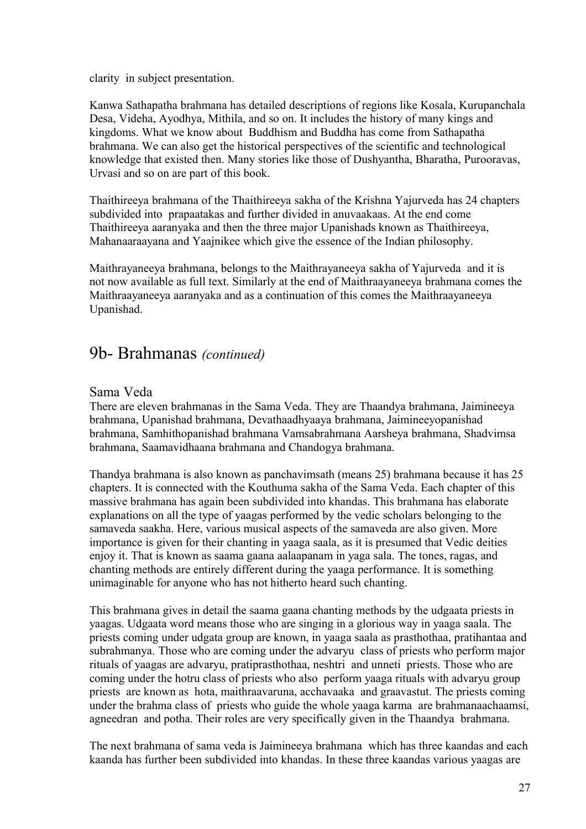clarity in subject presentation.

Kanwa Sathapatha brahmana has detailed descriptions of regions like Kosala, Kurupanchala Desa, Videha, Ayodhya, Mithila, and so on. It includes the history of many kings and kingdoms. What we know about Buddhism and Buddha has come from Sathapatha brahmana. We can also get the historical perspectives of the scientific and technological knowledge that existed then. Many stories like those of Dushyantha, Bharatha, Purooravas, Urvasi and so on are part of this book.

Thaithireeya brahmana of the Thaithireeya sakha of the Krishna Yajurveda has 24 chapters subdivided into prapaatakas and further divided in anuvaakaas. At the end come Thaithireeya aaranyaka and then the three major Upanishads known as Thaithireeya, Mahanaaraayana and Yaajnikee which give the essence of the Indian philosophy.

Maithrayaneeya brahmana, belongs to the Maithrayaneeya sakha of Yajurveda and it is not now available as full text. Similarly at the end of Maithraayaneeya brahmana comes the Maithraayaneeya aaranyaka and as a continuation of this comes the Maithraayaneeya Upanishad.

## 9b- Brahmanas *(continued)*

#### Sama Veda

There are eleven brahmanas in the Sama Veda. They are Thaandya brahmana, Jaimineeya brahmana, Upanishad brahmana, Devathaadhyaaya brahmana, Jaimineeyopanishad brahmana, Samhithopanishad brahmana Vamsabrahmana Aarsheya brahmana, Shadvimsa brahmana, Saamavidhaana brahmana and Chandogya brahmana.

Thandya brahmana is also known as panchavimsath (means 25) brahmana because it has 25 chapters. It is connected with the Kouthuma sakha of the Sama Veda. Each chapter of this massive brahmana has again been subdivided into khandas. This brahmana has elaborate explanations on all the type of yaagas performed by the vedic scholars belonging to the samaveda saakha. Here, various musical aspects of the samaveda are also given. More importance is given for their chanting in yaaga saala, as it is presumed that Vedic deities enjoy it. That is known as saama gaana aalaapanam in yaga sala. The tones, ragas, and chanting methods are entirely different during the yaaga performance. It is something unimaginable for anyone who has not hitherto heard such chanting.

This brahmana gives in detail the saama gaana chanting methods by the udgaata priests in yaagas. Udgaata word means those who are singing in a glorious way in yaaga saala. The priests coming under udgata group are known, in yaaga saala as prasthothaa, pratihantaa and subrahmanya. Those who are coming under the advaryu class of priests who perform major rituals of yaagas are advaryu, pratiprasthothaa, neshtri and unneti priests. Those who are coming under the hotru class of priests who also perform yaaga rituals with advaryu group priests are known as hota, maithraavaruna, acchavaaka and graavastut. The priests coming under the brahma class of priests who guide the whole yaaga karma are brahmanaachaamsi, agneedran and potha. Their roles are very specifically given in the Thaandya brahmana.

The next brahmana of sama veda is Jaimineeya brahmana which has three kaandas and each kaanda has further been subdivided into khandas. In these three kaandas various yaagas are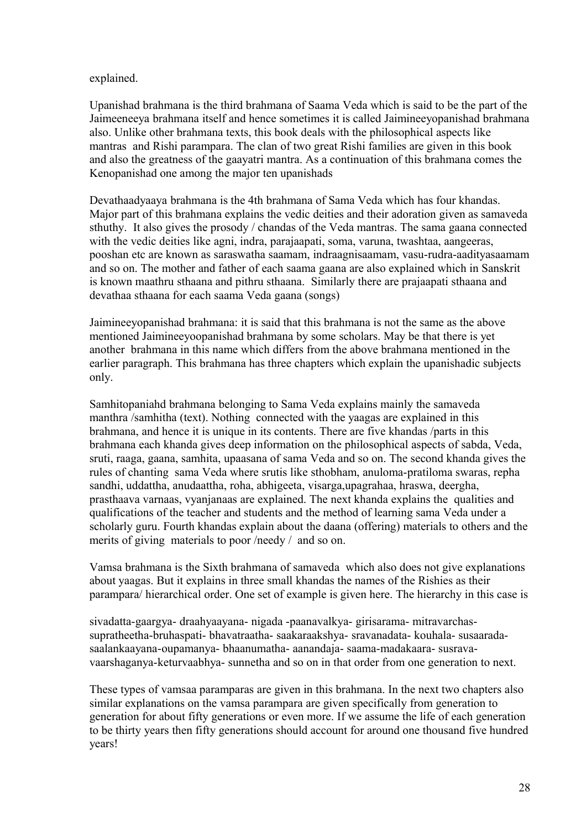#### explained.

Upanishad brahmana is the third brahmana of Saama Veda which is said to be the part of the Jaimeeneeya brahmana itself and hence sometimes it is called Jaimineeyopanishad brahmana also. Unlike other brahmana texts, this book deals with the philosophical aspects like mantras and Rishi parampara. The clan of two great Rishi families are given in this book and also the greatness of the gaayatri mantra. As a continuation of this brahmana comes the Kenopanishad one among the major ten upanishads

Devathaadyaaya brahmana is the 4th brahmana of Sama Veda which has four khandas. Major part of this brahmana explains the vedic deities and their adoration given as samaveda sthuthy. It also gives the prosody / chandas of the Veda mantras. The sama gaana connected with the vedic deities like agni, indra, parajaapati, soma, varuna, twashtaa, aangeeras, pooshan etc are known as saraswatha saamam, indraagnisaamam, vasu-rudra-aadityasaamam and so on. The mother and father of each saama gaana are also explained which in Sanskrit is known maathru sthaana and pithru sthaana. Similarly there are prajaapati sthaana and devathaa sthaana for each saama Veda gaana (songs)

Jaimineeyopanishad brahmana: it is said that this brahmana is not the same as the above mentioned Jaimineeyoopanishad brahmana by some scholars. May be that there is yet another brahmana in this name which differs from the above brahmana mentioned in the earlier paragraph. This brahmana has three chapters which explain the upanishadic subjects only.

Samhitopaniahd brahmana belonging to Sama Veda explains mainly the samaveda manthra /samhitha (text). Nothing connected with the yaagas are explained in this brahmana, and hence it is unique in its contents. There are five khandas /parts in this brahmana each khanda gives deep information on the philosophical aspects of sabda, Veda, sruti, raaga, gaana, samhita, upaasana of sama Veda and so on. The second khanda gives the rules of chanting sama Veda where srutis like sthobham, anuloma-pratiloma swaras, repha sandhi, uddattha, anudaattha, roha, abhigeeta, visarga,upagrahaa, hraswa, deergha, prasthaava varnaas, vyanjanaas are explained. The next khanda explains the qualities and qualifications of the teacher and students and the method of learning sama Veda under a scholarly guru. Fourth khandas explain about the daana (offering) materials to others and the merits of giving materials to poor /needy / and so on.

Vamsa brahmana is the Sixth brahmana of samaveda which also does not give explanations about yaagas. But it explains in three small khandas the names of the Rishies as their parampara/ hierarchical order. One set of example is given here. The hierarchy in this case is

sivadatta-gaargya- draahyaayana- nigada -paanavalkya- girisarama- mitravarchassupratheetha-bruhaspati- bhavatraatha- saakaraakshya- sravanadata- kouhala- susaaradasaalankaayana-oupamanya- bhaanumatha- aanandaja- saama-madakaara- susravavaarshaganya-keturvaabhya- sunnetha and so on in that order from one generation to next.

These types of vamsaa paramparas are given in this brahmana. In the next two chapters also similar explanations on the vamsa parampara are given specifically from generation to generation for about fifty generations or even more. If we assume the life of each generation to be thirty years then fifty generations should account for around one thousand five hundred years!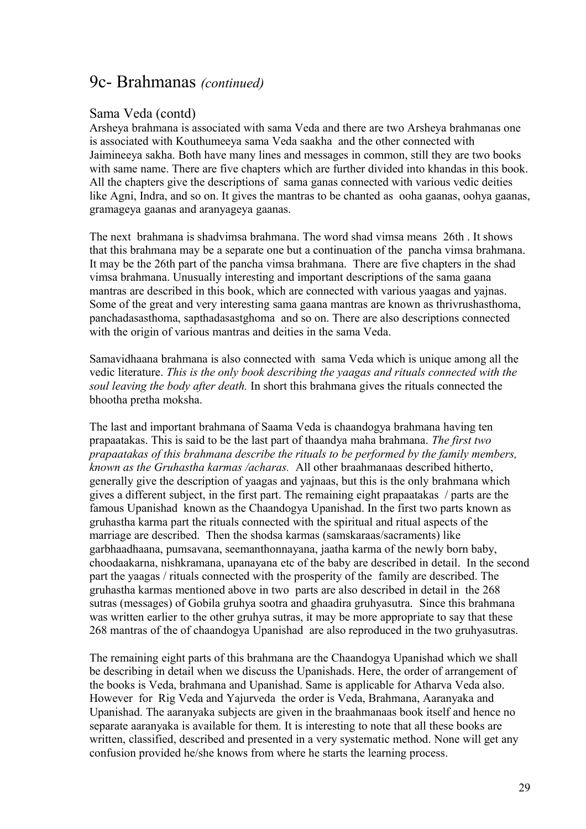## 9c- Brahmanas *(continued)*

#### Sama Veda (contd)

Arsheya brahmana is associated with sama Veda and there are two Arsheya brahmanas one is associated with Kouthumeeya sama Veda saakha and the other connected with Jaimineeya sakha. Both have many lines and messages in common, still they are two books with same name. There are five chapters which are further divided into khandas in this book. All the chapters give the descriptions of sama ganas connected with various vedic deities like Agni, Indra, and so on. It gives the mantras to be chanted as ooha gaanas, oohya gaanas, gramageya gaanas and aranyageya gaanas.

The next brahmana is shadvimsa brahmana. The word shad vimsa means 26th . It shows that this brahmana may be a separate one but a continuation of the pancha vimsa brahmana. It may be the 26th part of the pancha vimsa brahmana. There are five chapters in the shad vimsa brahmana. Unusually interesting and important descriptions of the sama gaana mantras are described in this book, which are connected with various yaagas and yajnas. Some of the great and very interesting sama gaana mantras are known as thrivrushasthoma, panchadasasthoma, sapthadasastghoma and so on. There are also descriptions connected with the origin of various mantras and deities in the sama Veda.

Samavidhaana brahmana is also connected with sama Veda which is unique among all the vedic literature. *This is the only book describing the yaagas and rituals connected with the soul leaving the body after death.* In short this brahmana gives the rituals connected the bhootha pretha moksha.

The last and important brahmana of Saama Veda is chaandogya brahmana having ten prapaatakas. This is said to be the last part of thaandya maha brahmana. *The first two prapaatakas of this brahmana describe the rituals to be performed by the family members, known as the Gruhastha karmas /acharas.* All other braahmanaas described hitherto, generally give the description of yaagas and yajnaas, but this is the only brahmana which gives a different subject, in the first part. The remaining eight prapaatakas / parts are the famous Upanishad known as the Chaandogya Upanishad. In the first two parts known as gruhastha karma part the rituals connected with the spiritual and ritual aspects of the marriage are described. Then the shodsa karmas (samskaraas/sacraments) like garbhaadhaana, pumsavana, seemanthonnayana, jaatha karma of the newly born baby, choodaakarna, nishkramana, upanayana etc of the baby are described in detail. In the second part the yaagas / rituals connected with the prosperity of the family are described. The gruhastha karmas mentioned above in two parts are also described in detail in the 268 sutras (messages) of Gobila gruhya sootra and ghaadira gruhyasutra. Since this brahmana was written earlier to the other gruhya sutras, it may be more appropriate to say that these 268 mantras of the of chaandogya Upanishad are also reproduced in the two gruhyasutras.

The remaining eight parts of this brahmana are the Chaandogya Upanishad which we shall be describing in detail when we discuss the Upanishads. Here, the order of arrangement of the books is Veda, brahmana and Upanishad. Same is applicable for Atharva Veda also. However for Rig Veda and Yajurveda the order is Veda, Brahmana, Aaranyaka and Upanishad. The aaranyaka subjects are given in the braahmanaas book itself and hence no separate aaranyaka is available for them. It is interesting to note that all these books are written, classified, described and presented in a very systematic method. None will get any confusion provided he/she knows from where he starts the learning process.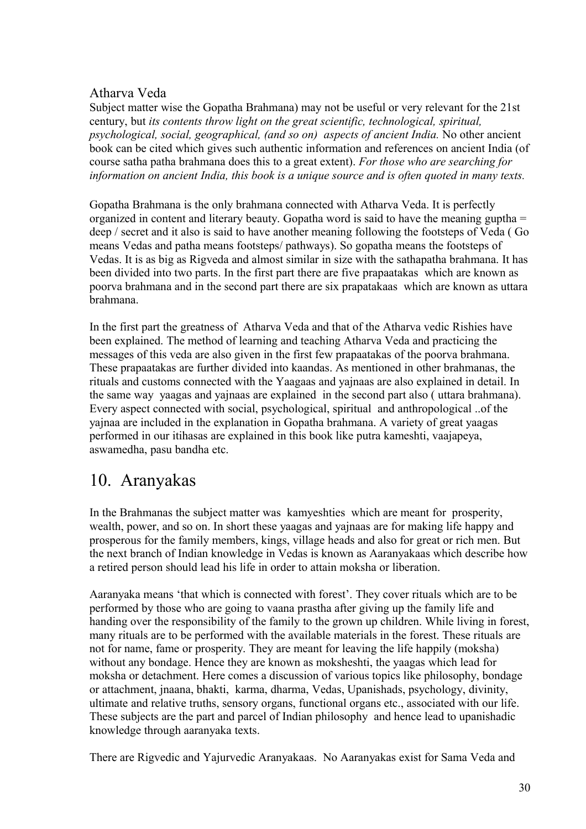### Atharva Veda

Subject matter wise the Gopatha Brahmana) may not be useful or very relevant for the 21st century, but *its contents throw light on the great scientific, technological, spiritual, psychological, social, geographical, (and so on) aspects of ancient India.* No other ancient book can be cited which gives such authentic information and references on ancient India (of course satha patha brahmana does this to a great extent). *For those who are searching for information on ancient India, this book is a unique source and is often quoted in many texts.*

Gopatha Brahmana is the only brahmana connected with Atharva Veda. It is perfectly organized in content and literary beauty. Gopatha word is said to have the meaning guptha = deep / secret and it also is said to have another meaning following the footsteps of Veda ( Go means Vedas and patha means footsteps/ pathways). So gopatha means the footsteps of Vedas. It is as big as Rigveda and almost similar in size with the sathapatha brahmana. It has been divided into two parts. In the first part there are five prapaatakas which are known as poorva brahmana and in the second part there are six prapatakaas which are known as uttara brahmana.

In the first part the greatness of Atharva Veda and that of the Atharva vedic Rishies have been explained. The method of learning and teaching Atharva Veda and practicing the messages of this veda are also given in the first few prapaatakas of the poorva brahmana. These prapaatakas are further divided into kaandas. As mentioned in other brahmanas, the rituals and customs connected with the Yaagaas and yajnaas are also explained in detail. In the same way yaagas and yajnaas are explained in the second part also ( uttara brahmana). Every aspect connected with social, psychological, spiritual and anthropological ..of the yajnaa are included in the explanation in Gopatha brahmana. A variety of great yaagas performed in our itihasas are explained in this book like putra kameshti, vaajapeya, aswamedha, pasu bandha etc.

## 10. Aranyakas

In the Brahmanas the subject matter was kamyeshties which are meant for prosperity, wealth, power, and so on. In short these yaagas and yajnaas are for making life happy and prosperous for the family members, kings, village heads and also for great or rich men. But the next branch of Indian knowledge in Vedas is known as Aaranyakaas which describe how a retired person should lead his life in order to attain moksha or liberation.

Aaranyaka means 'that which is connected with forest'. They cover rituals which are to be performed by those who are going to vaana prastha after giving up the family life and handing over the responsibility of the family to the grown up children. While living in forest, many rituals are to be performed with the available materials in the forest. These rituals are not for name, fame or prosperity. They are meant for leaving the life happily (moksha) without any bondage. Hence they are known as moksheshti, the yaagas which lead for moksha or detachment. Here comes a discussion of various topics like philosophy, bondage or attachment, jnaana, bhakti, karma, dharma, Vedas, Upanishads, psychology, divinity, ultimate and relative truths, sensory organs, functional organs etc., associated with our life. These subjects are the part and parcel of Indian philosophy and hence lead to upanishadic knowledge through aaranyaka texts.

There are Rigvedic and Yajurvedic Aranyakaas. No Aaranyakas exist for Sama Veda and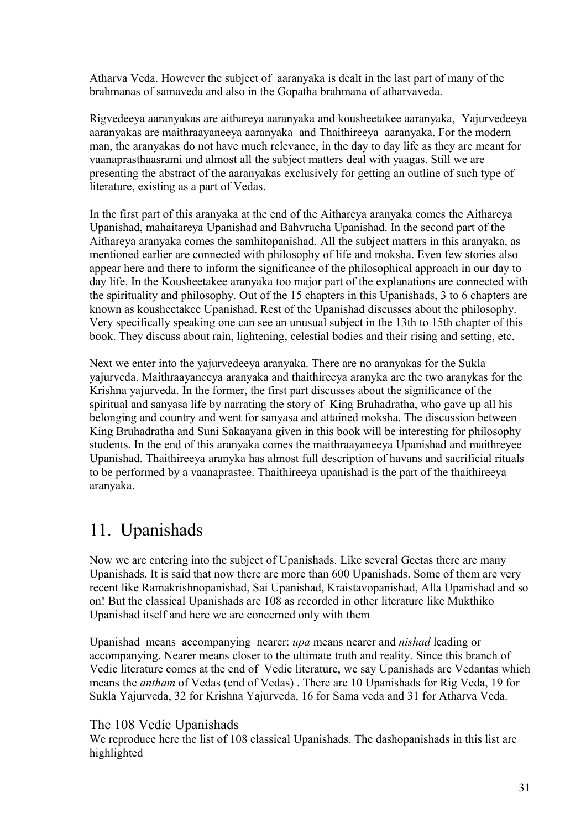Atharva Veda. However the subject of aaranyaka is dealt in the last part of many of the brahmanas of samaveda and also in the Gopatha brahmana of atharvaveda.

Rigvedeeya aaranyakas are aithareya aaranyaka and kousheetakee aaranyaka, Yajurvedeeya aaranyakas are maithraayaneeya aaranyaka and Thaithireeya aaranyaka. For the modern man, the aranyakas do not have much relevance, in the day to day life as they are meant for vaanaprasthaasrami and almost all the subject matters deal with yaagas. Still we are presenting the abstract of the aaranyakas exclusively for getting an outline of such type of literature, existing as a part of Vedas.

In the first part of this aranyaka at the end of the Aithareya aranyaka comes the Aithareya Upanishad, mahaitareya Upanishad and Bahvrucha Upanishad. In the second part of the Aithareya aranyaka comes the samhitopanishad. All the subject matters in this aranyaka, as mentioned earlier are connected with philosophy of life and moksha. Even few stories also appear here and there to inform the significance of the philosophical approach in our day to day life. In the Kousheetakee aranyaka too major part of the explanations are connected with the spirituality and philosophy. Out of the 15 chapters in this Upanishads, 3 to 6 chapters are known as kousheetakee Upanishad. Rest of the Upanishad discusses about the philosophy. Very specifically speaking one can see an unusual subject in the 13th to 15th chapter of this book. They discuss about rain, lightening, celestial bodies and their rising and setting, etc.

Next we enter into the yajurvedeeya aranyaka. There are no aranyakas for the Sukla yajurveda. Maithraayaneeya aranyaka and thaithireeya aranyka are the two aranykas for the Krishna yajurveda. In the former, the first part discusses about the significance of the spiritual and sanyasa life by narrating the story of King Bruhadratha, who gave up all his belonging and country and went for sanyasa and attained moksha. The discussion between King Bruhadratha and Suni Sakaayana given in this book will be interesting for philosophy students. In the end of this aranyaka comes the maithraayaneeya Upanishad and maithreyee Upanishad. Thaithireeya aranyka has almost full description of havans and sacrificial rituals to be performed by a vaanaprastee. Thaithireeya upanishad is the part of the thaithireeya aranyaka.

## 11. Upanishads

Now we are entering into the subject of Upanishads. Like several Geetas there are many Upanishads. It is said that now there are more than 600 Upanishads. Some of them are very recent like Ramakrishnopanishad, Sai Upanishad, Kraistavopanishad, Alla Upanishad and so on! But the classical Upanishads are 108 as recorded in other literature like Mukthiko Upanishad itself and here we are concerned only with them

Upanishad means accompanying nearer: *upa* means nearer and *nishad* leading or accompanying. Nearer means closer to the ultimate truth and reality. Since this branch of Vedic literature comes at the end of Vedic literature, we say Upanishads are Vedantas which means the *antham* of Vedas (end of Vedas) . There are 10 Upanishads for Rig Veda, 19 for Sukla Yajurveda, 32 for Krishna Yajurveda, 16 for Sama veda and 31 for Atharva Veda.

### The 108 Vedic Upanishads

We reproduce here the list of 108 classical Upanishads. The dashopanishads in this list are highlighted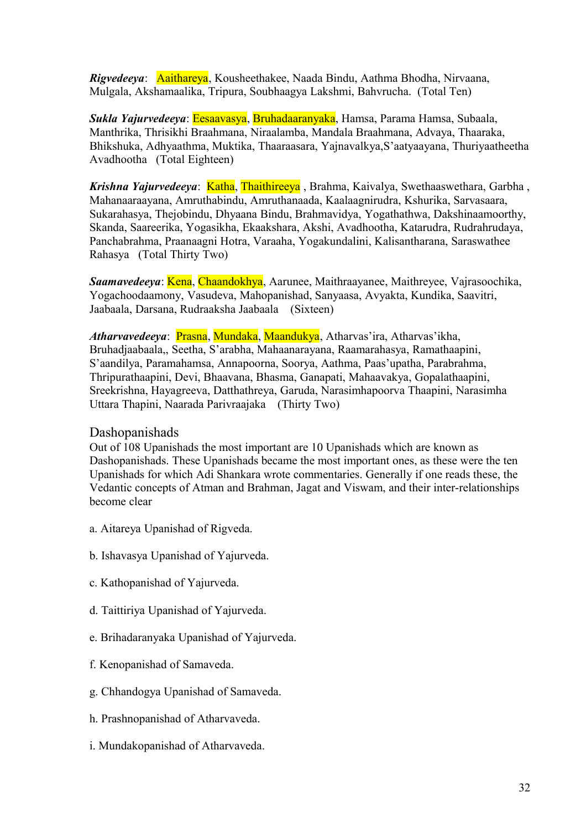*Rigvedeeya*: Aaithareya, Kousheethakee, Naada Bindu, Aathma Bhodha, Nirvaana, Mulgala, Akshamaalika, Tripura, Soubhaagya Lakshmi, Bahvrucha. (Total Ten)

*Sukla Yajurvedeeya*: Eesaavasya, Bruhadaaranyaka, Hamsa, Parama Hamsa, Subaala, Manthrika, Thrisikhi Braahmana, Niraalamba, Mandala Braahmana, Advaya, Thaaraka, Bhikshuka, Adhyaathma, Muktika, Thaaraasara, Yajnavalkya,S'aatyaayana, Thuriyaatheetha Avadhootha (Total Eighteen)

*Krishna Yajurvedeeya*: Katha, Thaithireeya, Brahma, Kaivalya, Swethaaswethara, Garbha, Mahanaaraayana, Amruthabindu, Amruthanaada, Kaalaagnirudra, Kshurika, Sarvasaara, Sukarahasya, Thejobindu, Dhyaana Bindu, Brahmavidya, Yogathathwa, Dakshinaamoorthy, Skanda, Saareerika, Yogasikha, Ekaakshara, Akshi, Avadhootha, Katarudra, Rudrahrudaya, Panchabrahma, Praanaagni Hotra, Varaaha, Yogakundalini, Kalisantharana, Saraswathee Rahasya (Total Thirty Two)

*Saamavedeeya*: Kena, Chaandokhya, Aarunee, Maithraayanee, Maithreyee, Vajrasoochika, Yogachoodaamony, Vasudeva, Mahopanishad, Sanyaasa, Avyakta, Kundika, Saavitri, Jaabaala, Darsana, Rudraaksha Jaabaala (Sixteen)

*Atharvavedeeya*: Prasna, Mundaka, Maandukya, Atharvas'ira, Atharvas'ikha, Bruhadjaabaala,, Seetha, S'arabha, Mahaanarayana, Raamarahasya, Ramathaapini, S'aandilya, Paramahamsa, Annapoorna, Soorya, Aathma, Paas'upatha, Parabrahma, Thripurathaapini, Devi, Bhaavana, Bhasma, Ganapati, Mahaavakya, Gopalathaapini, Sreekrishna, Hayagreeva, Datthathreya, Garuda, Narasimhapoorva Thaapini, Narasimha Uttara Thapini, Naarada Parivraajaka (Thirty Two)

#### Dashopanishads

Out of 108 Upanishads the most important are 10 Upanishads which are known as Dashopanishads. These Upanishads became the most important ones, as these were the ten Upanishads for which Adi Shankara wrote commentaries. Generally if one reads these, the Vedantic concepts of Atman and Brahman, Jagat and Viswam, and their inter-relationships become clear

- a. Aitareya Upanishad of Rigveda.
- b. Ishavasya Upanishad of Yajurveda.
- c. Kathopanishad of Yajurveda.
- d. Taittiriya Upanishad of Yajurveda.
- e. Brihadaranyaka Upanishad of Yajurveda.
- f. Kenopanishad of Samaveda.
- g. Chhandogya Upanishad of Samaveda.
- h. Prashnopanishad of Atharvaveda.
- i. Mundakopanishad of Atharvaveda.